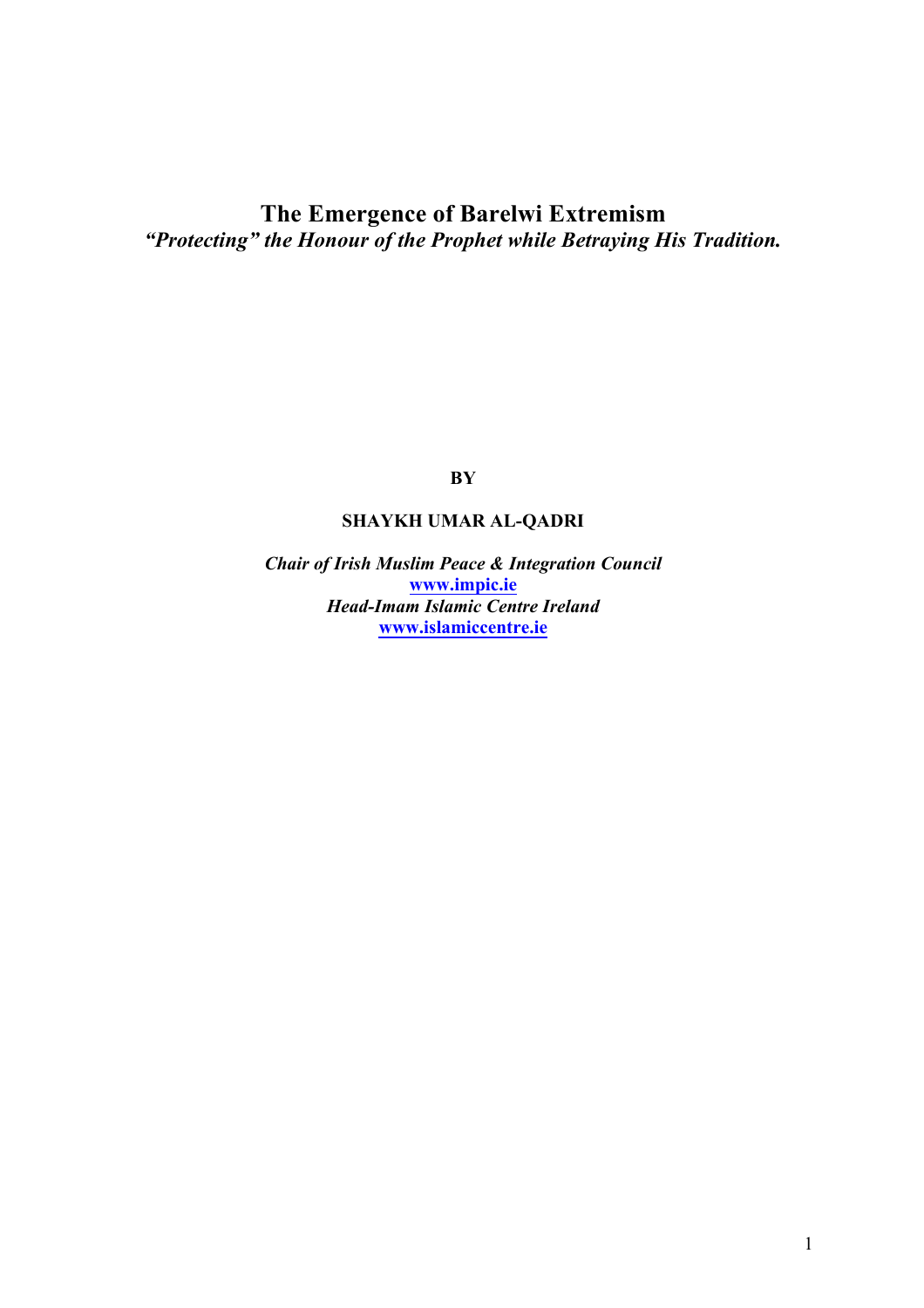# **The Emergence of Barelwi Extremism** *"Protecting" the Honour of the Prophet while Betraying His Tradition.*

**BY**

# **SHAYKH UMAR AL-QADRI**

*Chair of Irish Muslim Peace & Integration Council* **www.impic.ie** *Head-Imam Islamic Centre Ireland* **www.islamiccentre.ie**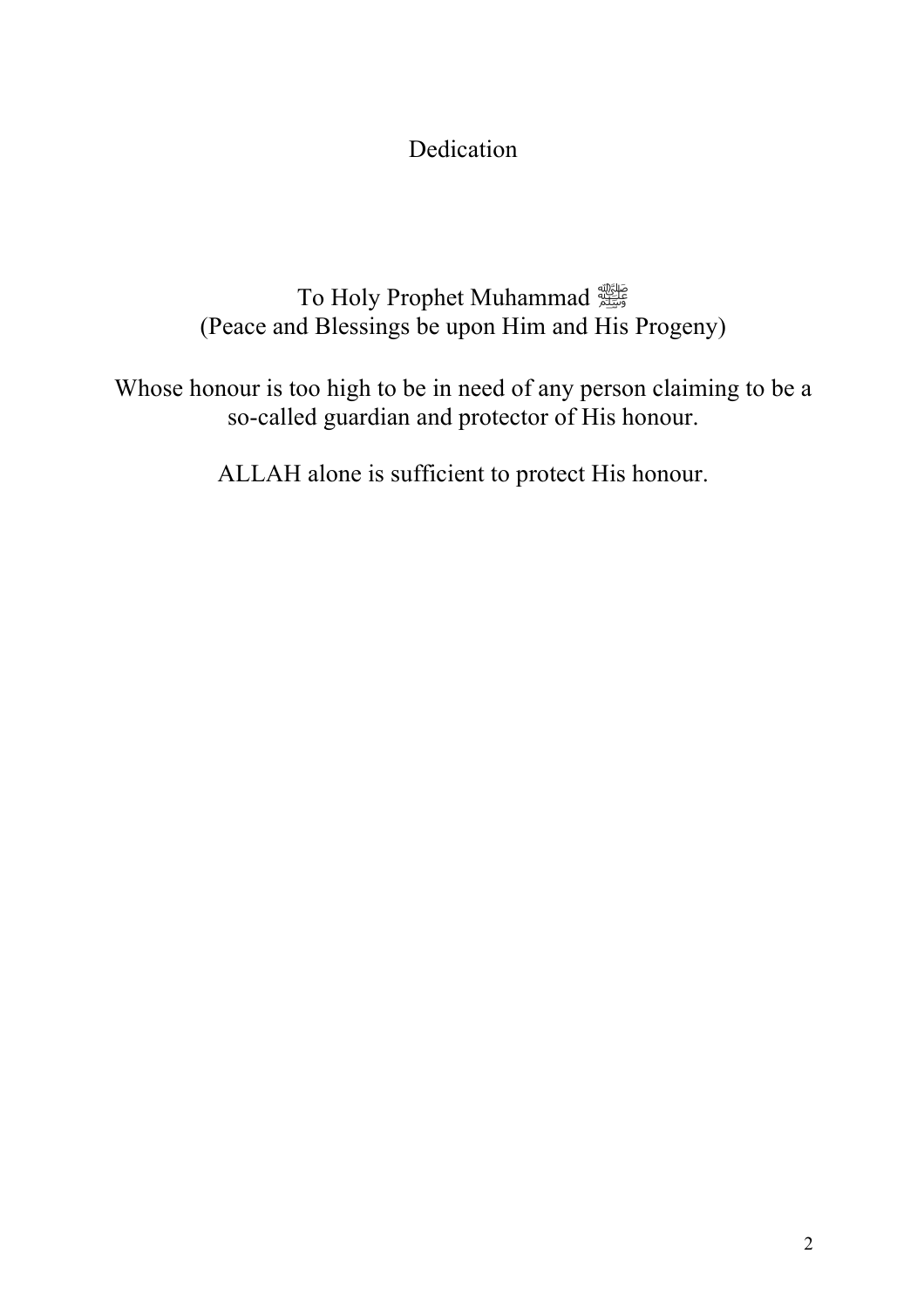Dedication

# To Holy Prophet Muhammad (Peace and Blessings be upon Him and His Progeny)

# Whose honour is too high to be in need of any person claiming to be a so-called guardian and protector of His honour.

ALLAH alone is sufficient to protect His honour.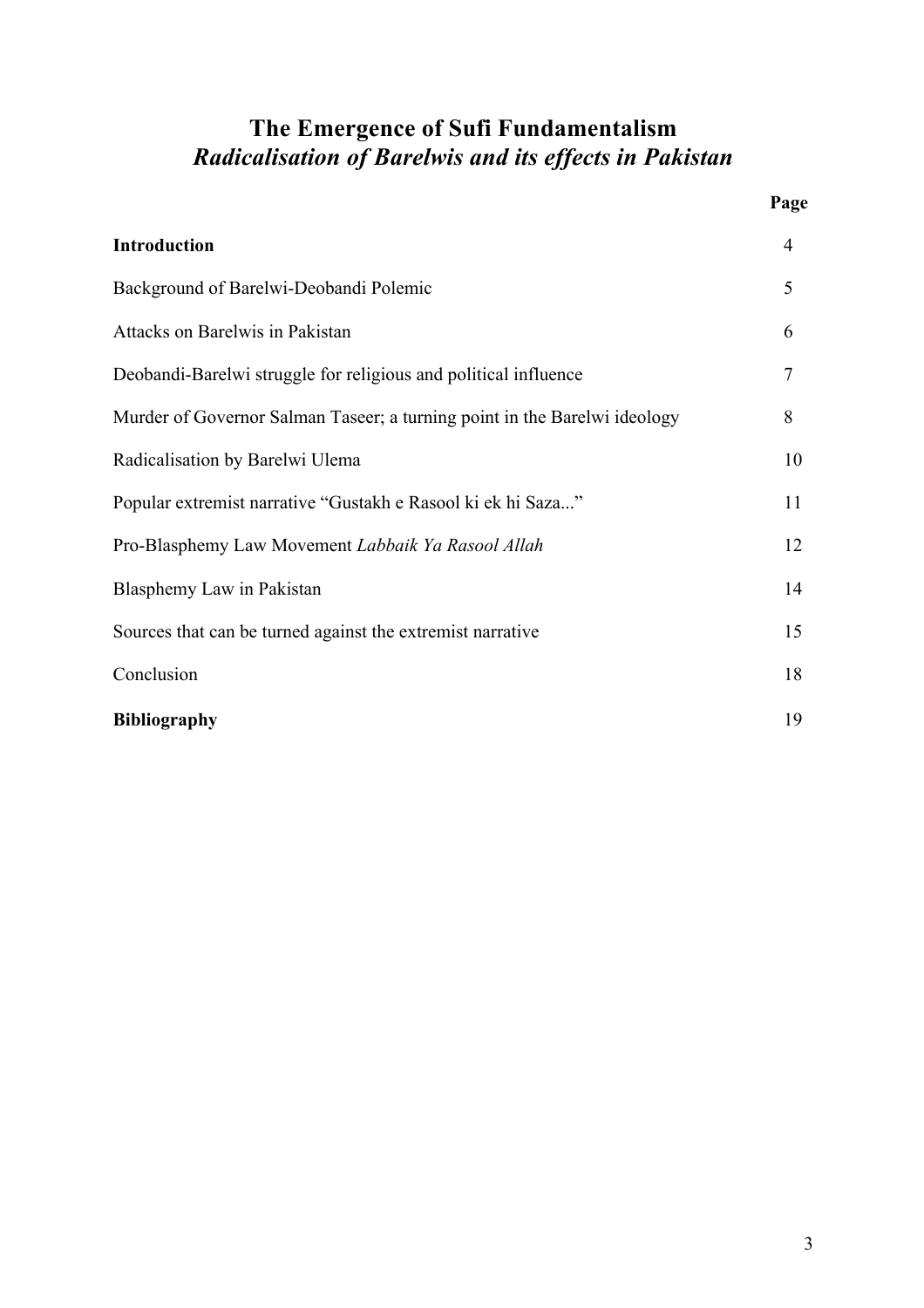# **The Emergence of Sufi Fundamentalism**  *Radicalisation of Barelwis and its effects in Pakistan*

|                                                                           | Page |
|---------------------------------------------------------------------------|------|
| <b>Introduction</b>                                                       | 4    |
| Background of Barelwi-Deobandi Polemic                                    | 5    |
| Attacks on Barelwis in Pakistan                                           | 6    |
| Deobandi-Barelwi struggle for religious and political influence           | 7    |
| Murder of Governor Salman Taseer; a turning point in the Barelwi ideology | 8    |
| Radicalisation by Barelwi Ulema                                           | 10   |
| Popular extremist narrative "Gustakh e Rasool ki ek hi Saza"              | 11   |
| Pro-Blasphemy Law Movement Labbaik Ya Rasool Allah                        | 12   |
| Blasphemy Law in Pakistan                                                 | 14   |
| Sources that can be turned against the extremist narrative                | 15   |
| Conclusion                                                                | 18   |
| <b>Bibliography</b>                                                       | 19   |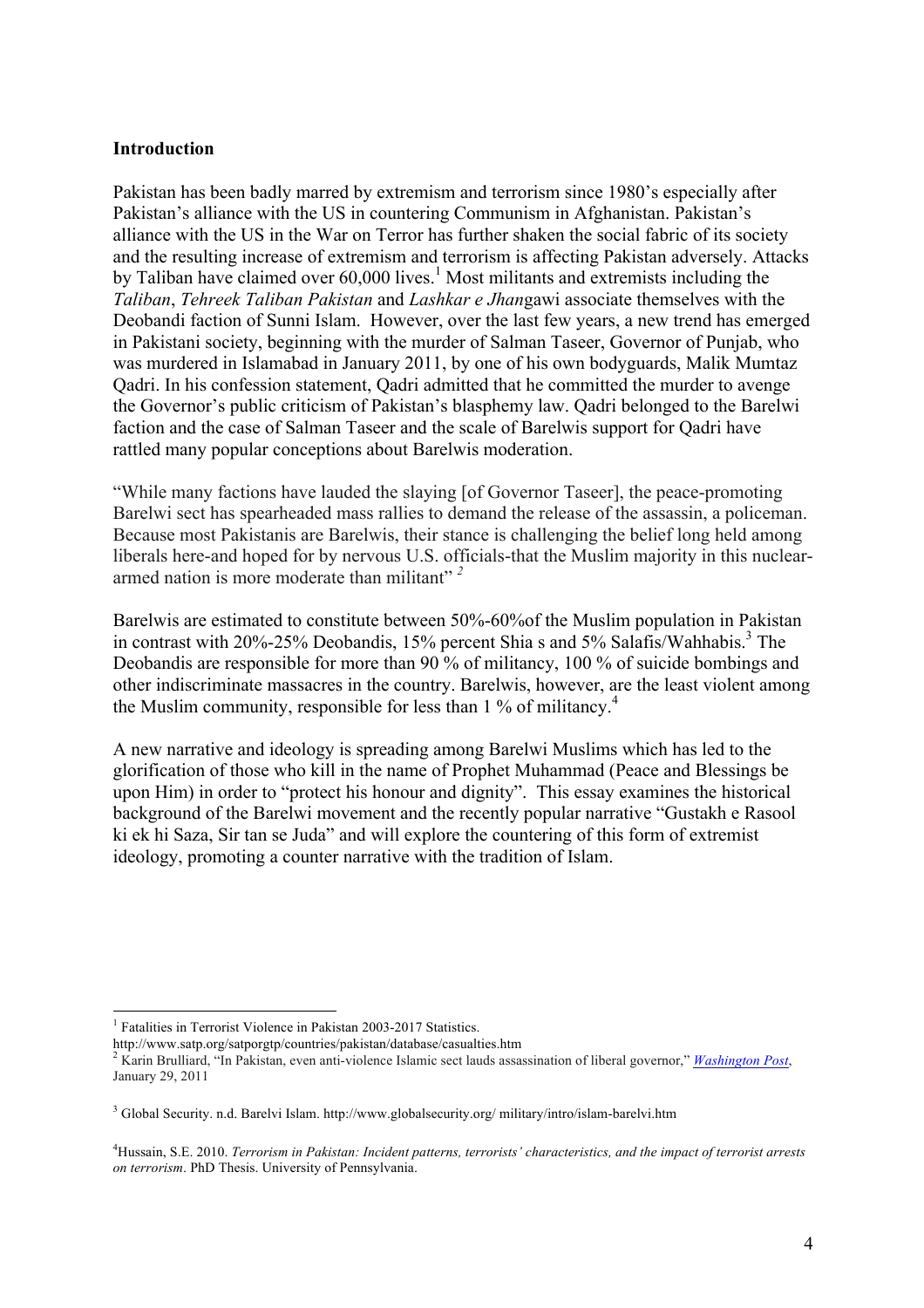### **Introduction**

Pakistan has been badly marred by extremism and terrorism since 1980's especially after Pakistan's alliance with the US in countering Communism in Afghanistan. Pakistan's alliance with the US in the War on Terror has further shaken the social fabric of its society and the resulting increase of extremism and terrorism is affecting Pakistan adversely. Attacks by Taliban have claimed over  $60,000$  lives.<sup>1</sup> Most militants and extremists including the *Taliban*, *Tehreek Taliban Pakistan* and *Lashkar e Jhan*gawi associate themselves with the Deobandi faction of Sunni Islam. However, over the last few years, a new trend has emerged in Pakistani society, beginning with the murder of Salman Taseer, Governor of Punjab, who was murdered in Islamabad in January 2011, by one of his own bodyguards, Malik Mumtaz Qadri. In his confession statement, Qadri admitted that he committed the murder to avenge the Governor's public criticism of Pakistan's blasphemy law. Qadri belonged to the Barelwi faction and the case of Salman Taseer and the scale of Barelwis support for Qadri have rattled many popular conceptions about Barelwis moderation.

"While many factions have lauded the slaying [of Governor Taseer], the peace-promoting Barelwi sect has spearheaded mass rallies to demand the release of the assassin, a policeman. Because most Pakistanis are Barelwis, their stance is challenging the belief long held among liberals here-and hoped for by nervous U.S. officials-that the Muslim majority in this nucleararmed nation is more moderate than militant" *<sup>2</sup>*

Barelwis are estimated to constitute between 50%-60%of the Muslim population in Pakistan in contrast with  $20\% - 25\%$  Deobandis, 15% percent Shia s and 5% Salafis/Wahhabis.<sup>3</sup> The Deobandis are responsible for more than 90 % of militancy, 100 % of suicide bombings and other indiscriminate massacres in the country. Barelwis, however, are the least violent among the Muslim community, responsible for less than 1 % of militancy.<sup>4</sup>

A new narrative and ideology is spreading among Barelwi Muslims which has led to the glorification of those who kill in the name of Prophet Muhammad (Peace and Blessings be upon Him) in order to "protect his honour and dignity". This essay examines the historical background of the Barelwi movement and the recently popular narrative "Gustakh e Rasool ki ek hi Saza, Sir tan se Juda" and will explore the countering of this form of extremist ideology, promoting a counter narrative with the tradition of Islam.

<sup>&</sup>lt;sup>1</sup> Fatalities in Terrorist Violence in Pakistan 2003-2017 Statistics.

http://www.satp.org/satporgtp/countries/pakistan/database/casualties.htm

<sup>2</sup> Karin Brulliard, "In Pakistan, even anti-violence Islamic sect lauds assassination of liberal governor," *Washington Post*, January 29, 2011

<sup>3</sup> Global Security. n.d. Barelvi Islam. http://www.globalsecurity.org/ military/intro/islam-barelvi.htm

<sup>4</sup> Hussain, S.E. 2010. *Terrorism in Pakistan: Incident patterns, terrorists' characteristics, and the impact of terrorist arrests on terrorism*. PhD Thesis. University of Pennsylvania.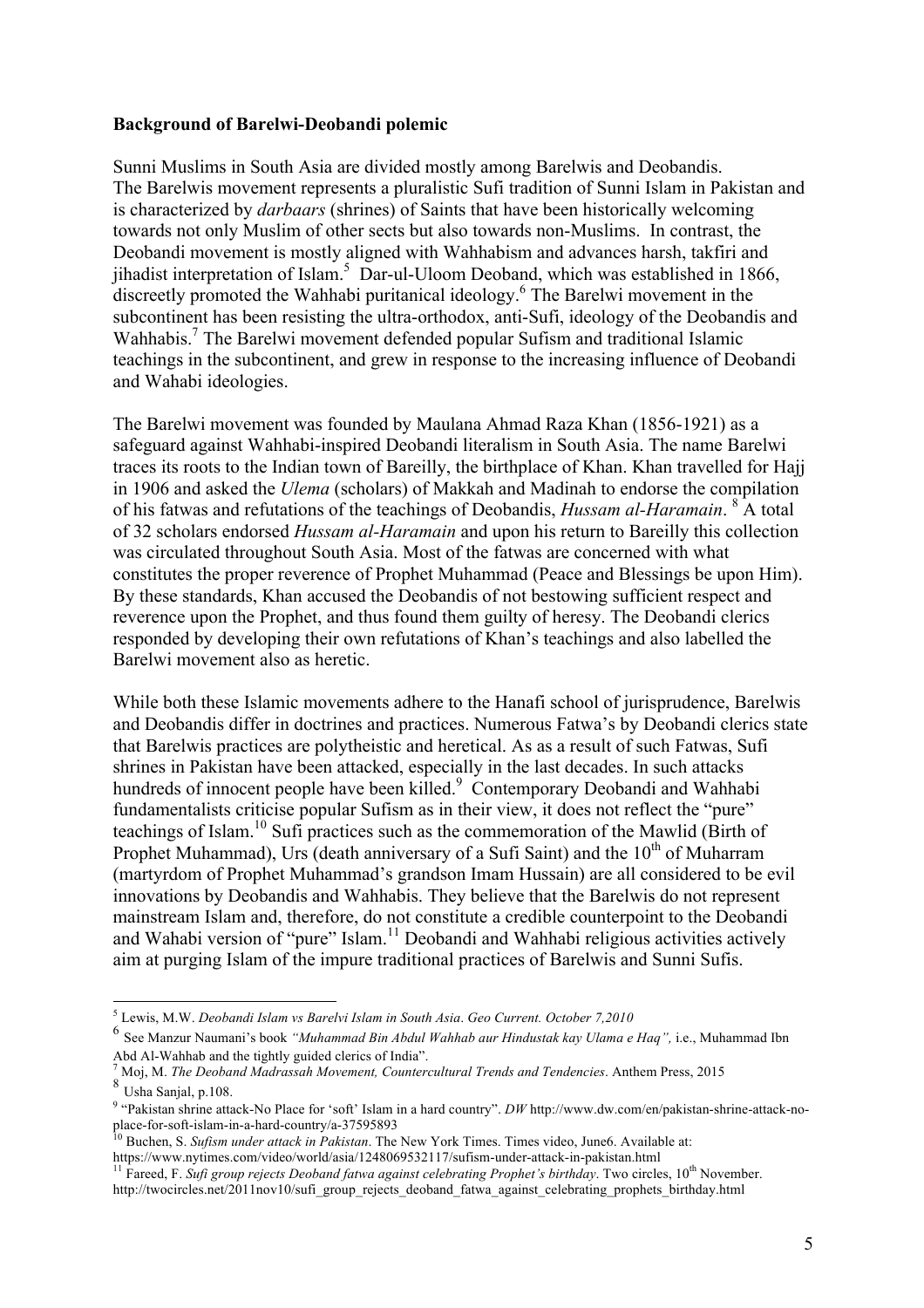### **Background of Barelwi-Deobandi polemic**

Sunni Muslims in South Asia are divided mostly among Barelwis and Deobandis. The Barelwis movement represents a pluralistic Sufi tradition of Sunni Islam in Pakistan and is characterized by *darbaars* (shrines) of Saints that have been historically welcoming towards not only Muslim of other sects but also towards non-Muslims. In contrast, the Deobandi movement is mostly aligned with Wahhabism and advances harsh, takfiri and ihadist interpretation of Islam.<sup>5</sup> Dar-ul-Uloom Deoband, which was established in 1866, discreetly promoted the Wahhabi puritanical ideology.6 The Barelwi movement in the subcontinent has been resisting the ultra-orthodox, anti-Sufi, ideology of the Deobandis and Wahhabis.<sup>7</sup> The Barelwi movement defended popular Sufism and traditional Islamic teachings in the subcontinent, and grew in response to the increasing influence of Deobandi and Wahabi ideologies.

The Barelwi movement was founded by Maulana Ahmad Raza Khan (1856-1921) as a safeguard against Wahhabi-inspired Deobandi literalism in South Asia. The name Barelwi traces its roots to the Indian town of Bareilly, the birthplace of Khan. Khan travelled for Hajj in 1906 and asked the *Ulema* (scholars) of Makkah and Madinah to endorse the compilation of his fatwas and refutations of the teachings of Deobandis, *Hussam al-Haramain*. <sup>8</sup> A total of 32 scholars endorsed *Hussam al-Haramain* and upon his return to Bareilly this collection was circulated throughout South Asia. Most of the fatwas are concerned with what constitutes the proper reverence of Prophet Muhammad (Peace and Blessings be upon Him). By these standards, Khan accused the Deobandis of not bestowing sufficient respect and reverence upon the Prophet, and thus found them guilty of heresy. The Deobandi clerics responded by developing their own refutations of Khan's teachings and also labelled the Barelwi movement also as heretic.

While both these Islamic movements adhere to the Hanafi school of jurisprudence, Barelwis and Deobandis differ in doctrines and practices. Numerous Fatwa's by Deobandi clerics state that Barelwis practices are polytheistic and heretical. As as a result of such Fatwas, Sufi shrines in Pakistan have been attacked, especially in the last decades. In such attacks hundreds of innocent people have been killed.<sup>9</sup> Contemporary Deobandi and Wahhabi fundamentalists criticise popular Sufism as in their view, it does not reflect the "pure" teachings of Islam.10 Sufi practices such as the commemoration of the Mawlid (Birth of Prophet Muhammad), Urs (death anniversary of a Sufi Saint) and the  $10<sup>th</sup>$  of Muharram (martyrdom of Prophet Muhammad's grandson Imam Hussain) are all considered to be evil innovations by Deobandis and Wahhabis. They believe that the Barelwis do not represent mainstream Islam and, therefore, do not constitute a credible counterpoint to the Deobandi and Wahabi version of "pure" Islam.<sup>11</sup> Deobandi and Wahhabi religious activities actively aim at purging Islam of the impure traditional practices of Barelwis and Sunni Sufis.

 <sup>5</sup> Lewis, M.W. *Deobandi Islam vs Barelvi Islam in South Asia*. *Geo Current. October 7,2010*

<sup>6</sup> See Manzur Naumani's book *"Muhammad Bin Abdul Wahhab aur Hindustak kay Ulama e Haq",* i.e., Muhammad Ibn Abd Al-Wahhab and the tightly guided clerics of India".<br><sup>7</sup> Moj, M. *The Deoband Madrassah Movement, Countercultural Trends and Tendencies*. Anthem Press, 2015

 $8$ <sup>NICJ</sup>,  $\ldots$  -  $\ldots$  -  $\ldots$  -  $\ldots$  Usha Sanjal, p.108.

<sup>9 &</sup>quot;Pakistan shrine attack-No Place for 'soft' Islam in a hard country". *DW* http://www.dw.com/en/pakistan-shrine-attack-no-

place-for-soft-islam-in-a-hard-country/a-37595893<br><sup>10</sup> Buchen, S. *Sufism under attack in Pakistan*. The New York Times. Times video, June6. Available at:<br>https://www.nytimes.com/video/world/asia/1248069532117/sufism-under

<sup>&</sup>lt;sup>11</sup> Fareed, F. *Sufi group rejects Deoband fatwa against celebrating Prophet's birthday*. Two circles, 10<sup>th</sup> November. http://twocircles.net/2011nov10/sufi\_group\_rejects\_deoband\_fatwa\_against\_celebrating\_prophets\_birthday.html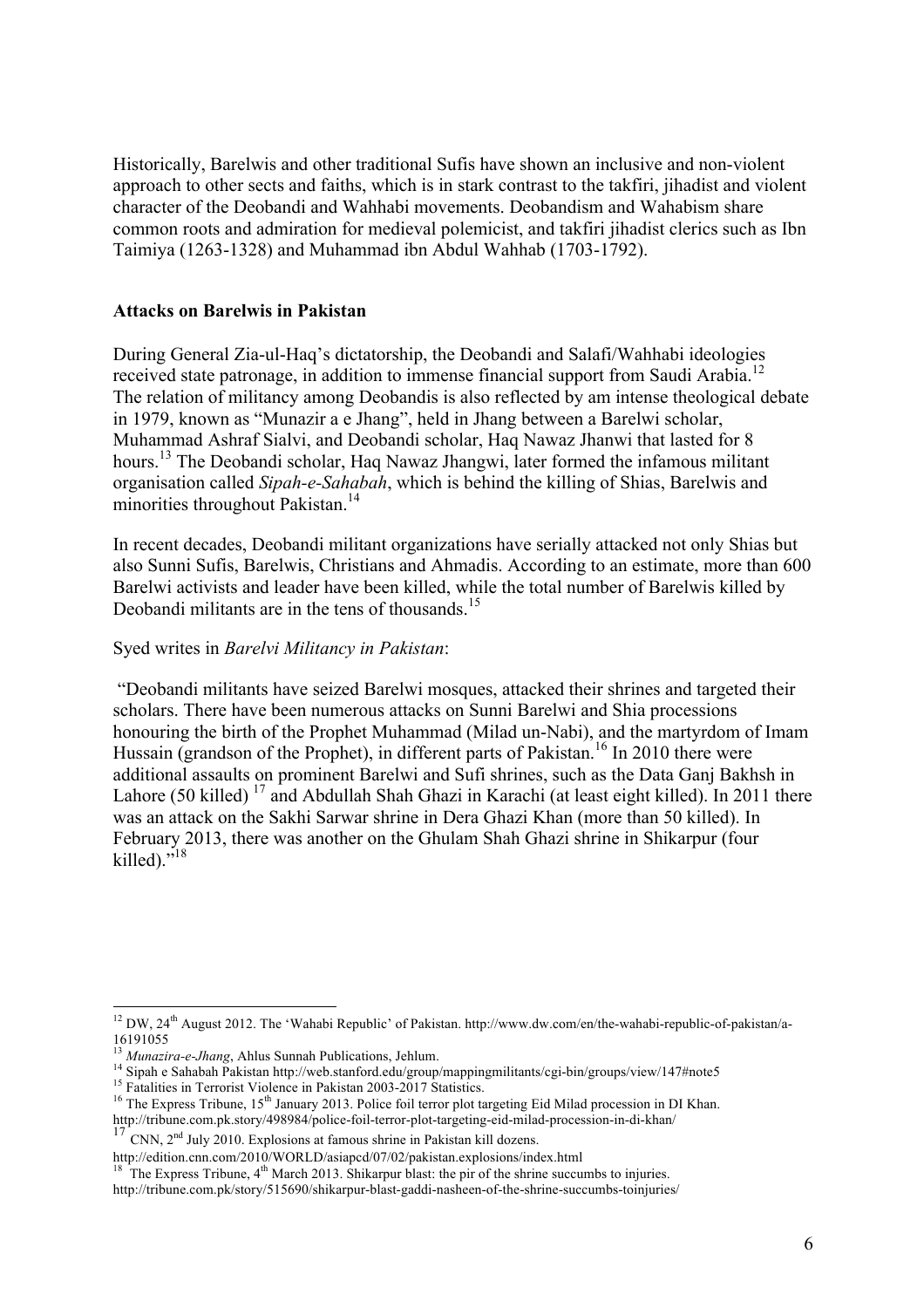Historically, Barelwis and other traditional Sufis have shown an inclusive and non-violent approach to other sects and faiths, which is in stark contrast to the takfiri, jihadist and violent character of the Deobandi and Wahhabi movements. Deobandism and Wahabism share common roots and admiration for medieval polemicist, and takfiri jihadist clerics such as Ibn Taimiya (1263-1328) and Muhammad ibn Abdul Wahhab (1703-1792).

#### **Attacks on Barelwis in Pakistan**

During General Zia-ul-Haq's dictatorship, the Deobandi and Salafi/Wahhabi ideologies received state patronage, in addition to immense financial support from Saudi Arabia.<sup>12</sup> The relation of militancy among Deobandis is also reflected by am intense theological debate in 1979, known as "Munazir a e Jhang", held in Jhang between a Barelwi scholar, Muhammad Ashraf Sialvi, and Deobandi scholar, Haq Nawaz Jhanwi that lasted for 8 hours.<sup>13</sup> The Deobandi scholar, Haq Nawaz Jhangwi, later formed the infamous militant organisation called *Sipah-e-Sahabah*, which is behind the killing of Shias, Barelwis and minorities throughout Pakistan.<sup>14</sup>

In recent decades, Deobandi militant organizations have serially attacked not only Shias but also Sunni Sufis, Barelwis, Christians and Ahmadis. According to an estimate, more than 600 Barelwi activists and leader have been killed, while the total number of Barelwis killed by Deobandi militants are in the tens of thousands.<sup>15</sup>

#### Syed writes in *Barelvi Militancy in Pakistan*:

"Deobandi militants have seized Barelwi mosques, attacked their shrines and targeted their scholars. There have been numerous attacks on Sunni Barelwi and Shia processions honouring the birth of the Prophet Muhammad (Milad un-Nabi), and the martyrdom of Imam Hussain (grandson of the Prophet), in different parts of Pakistan.<sup>16</sup> In 2010 there were additional assaults on prominent Barelwi and Sufi shrines, such as the Data Ganj Bakhsh in Lahore (50 killed)<sup>17</sup> and Abdullah Shah Ghazi in Karachi (at least eight killed). In 2011 there was an attack on the Sakhi Sarwar shrine in Dera Ghazi Khan (more than 50 killed). In February 2013, there was another on the Ghulam Shah Ghazi shrine in Shikarpur (four killed)."<sup>18</sup>

 $12$  DW,  $24$ <sup>th</sup> August 2012. The 'Wahabi Republic' of Pakistan. http://www.dw.com/en/the-wahabi-republic-of-pakistan/a-16191055<br><sup>13</sup> *Munazira-e-Jhang*, Ahlus Sunnah Publications. Jehlum.

<sup>14</sup> Sipah e Sahabah Pakistan http://web.stanford.edu/group/mappingmilitants/cgi-bin/groups/view/147#note5<br><sup>15</sup> Fatalities in Terrorist Violence in Pakistan 2003-2017 Statistics.

http://tribune.com.pk.story/498984/police-foil-terror-plot-targeting-eid-milad-procession-in-di-khan/<br>http://tribune.com.pk.story/498984/police-foil-terror-plot-targeting-eid-milad-procession-in-di-khan/

<sup>&</sup>lt;sup>17</sup> CNN, 2<sup>nd</sup> July 2010. Explosions at famous shrine in Pakistan kill dozens.

http://edition.cnn.com/2010/WORLD/asiapcd/07/02/pakistan.explosions/index.html

The Express Tribune,  $4^{th}$  March 2013. Shikarpur blast: the pir of the shrine succumbs to injuries.

http://tribune.com.pk/story/515690/shikarpur-blast-gaddi-nasheen-of-the-shrine-succumbs-toinjuries/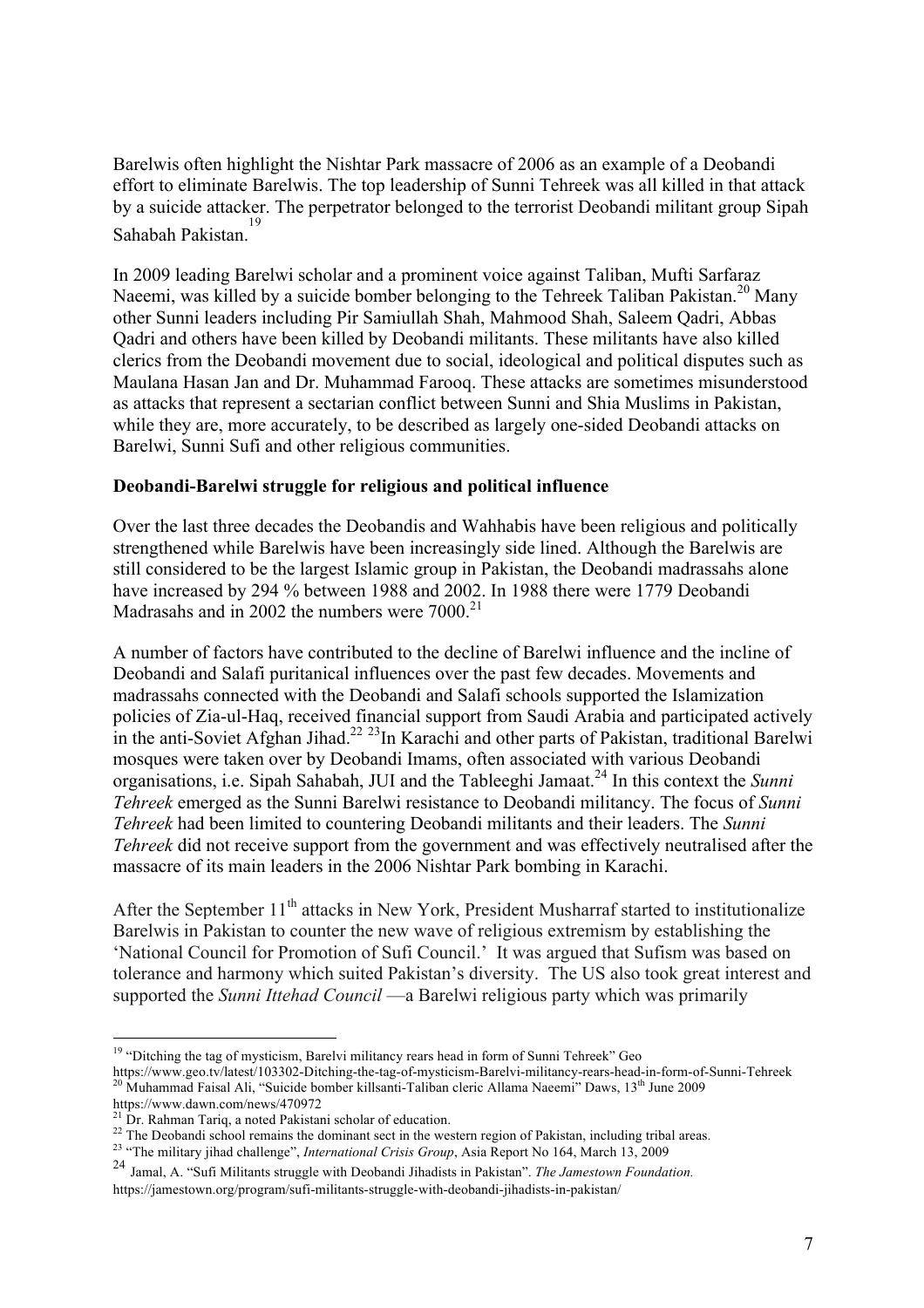Barelwis often highlight the Nishtar Park massacre of 2006 as an example of a Deobandi effort to eliminate Barelwis. The top leadership of Sunni Tehreek was all killed in that attack by a suicide attacker. The perpetrator belonged to the terrorist Deobandi militant group Sipah Sahabah Pakistan. 19

In 2009 leading Barelwi scholar and a prominent voice against Taliban, Mufti Sarfaraz Naeemi, was killed by a suicide bomber belonging to the Tehreek Taliban Pakistan.<sup>20</sup> Many other Sunni leaders including Pir Samiullah Shah, Mahmood Shah, Saleem Qadri, Abbas Qadri and others have been killed by Deobandi militants. These militants have also killed clerics from the Deobandi movement due to social, ideological and political disputes such as Maulana Hasan Jan and Dr. Muhammad Farooq. These attacks are sometimes misunderstood as attacks that represent a sectarian conflict between Sunni and Shia Muslims in Pakistan, while they are, more accurately, to be described as largely one-sided Deobandi attacks on Barelwi, Sunni Sufi and other religious communities.

#### **Deobandi-Barelwi struggle for religious and political influence**

Over the last three decades the Deobandis and Wahhabis have been religious and politically strengthened while Barelwis have been increasingly side lined. Although the Barelwis are still considered to be the largest Islamic group in Pakistan, the Deobandi madrassahs alone have increased by 294 % between 1988 and 2002. In 1988 there were 1779 Deobandi Madrasahs and in 2002 the numbers were 7000.<sup>21</sup>

A number of factors have contributed to the decline of Barelwi influence and the incline of Deobandi and Salafi puritanical influences over the past few decades. Movements and madrassahs connected with the Deobandi and Salafi schools supported the Islamization policies of Zia-ul-Haq, received financial support from Saudi Arabia and participated actively in the anti-Soviet Afghan Jihad.<sup>22</sup> <sup>23</sup>In Karachi and other parts of Pakistan, traditional Barelwi mosques were taken over by Deobandi Imams, often associated with various Deobandi organisations, i.e. Sipah Sahabah, JUI and the Tableeghi Jamaat.<sup>24</sup> In this context the *Sunni Tehreek* emerged as the Sunni Barelwi resistance to Deobandi militancy. The focus of *Sunni Tehreek* had been limited to countering Deobandi militants and their leaders. The *Sunni Tehreek* did not receive support from the government and was effectively neutralised after the massacre of its main leaders in the 2006 Nishtar Park bombing in Karachi.

After the September 11<sup>th</sup> attacks in New York, President Musharraf started to institutionalize Barelwis in Pakistan to counter the new wave of religious extremism by establishing the 'National Council for Promotion of Sufi Council.' It was argued that Sufism was based on tolerance and harmony which suited Pakistan's diversity. The US also took great interest and supported the *Sunni Ittehad Council* —a Barelwi religious party which was primarily

<sup>&</sup>lt;sup>19</sup> "Ditching the tag of mysticism, Barelvi militancy rears head in form of Sunni Tehreek" Geo

https://www.geo.tv/latest/103302-Ditching-the-tag-of-mysticism-Barelvi-militancy-rears-head-in-form-of-Sunni-Tehreek <sup>20</sup> Muhammad Faisal Ali, "Suicide bomber killsanti-Taliban cleric Allama Naeemi" Daws, 13<sup>th</sup> June 2009

https://www.dawn.com/news/470972<br><sup>21</sup> Dr. Rahman Tariq, a noted Pakistani scholar of education.

<sup>&</sup>lt;sup>22</sup> The Deobandi school remains the dominant sect in the western region of Pakistan, including tribal areas.<br><sup>23</sup> "The military jihad challenge", *International Crisis Group*, Asia Report No 164, March 13, 2009

<sup>24</sup> Jamal, A. "Sufi Militants struggle with Deobandi Jihadists in Pakistan". *The Jamestown Foundation.* https://jamestown.org/program/sufi-militants-struggle-with-deobandi-jihadists-in-pakistan/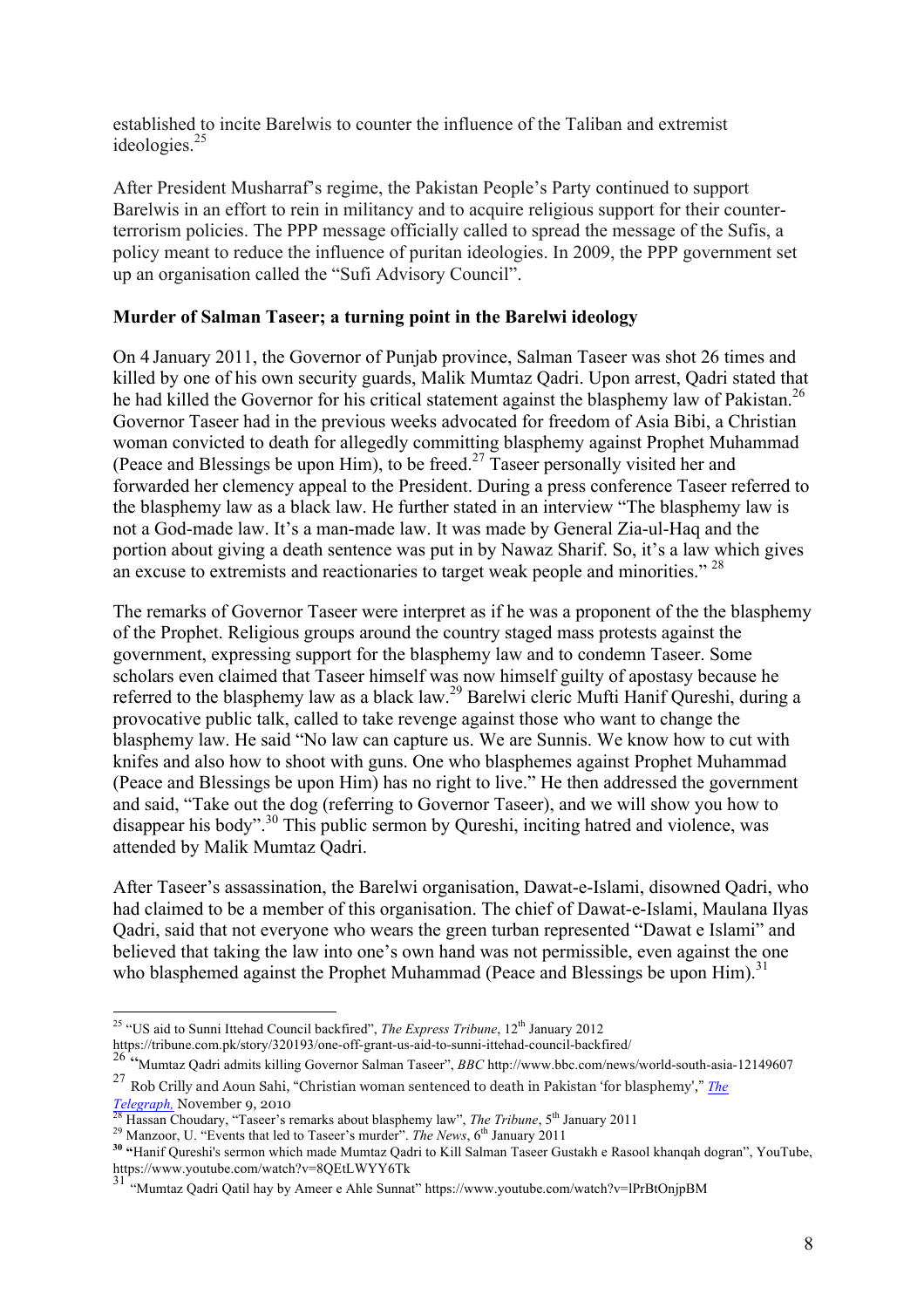established to incite Barelwis to counter the influence of the Taliban and extremist ideologies.<sup>25</sup>

After President Musharraf's regime, the Pakistan People's Party continued to support Barelwis in an effort to rein in militancy and to acquire religious support for their counterterrorism policies. The PPP message officially called to spread the message of the Sufis, a policy meant to reduce the influence of puritan ideologies. In 2009, the PPP government set up an organisation called the "Sufi Advisory Council".

### **Murder of Salman Taseer; a turning point in the Barelwi ideology**

On 4 January 2011, the Governor of Punjab province, Salman Taseer was shot 26 times and killed by one of his own security guards, Malik Mumtaz Qadri. Upon arrest, Qadri stated that he had killed the Governor for his critical statement against the blasphemy law of Pakistan.<sup>26</sup> Governor Taseer had in the previous weeks advocated for freedom of Asia Bibi, a Christian woman convicted to death for allegedly committing blasphemy against Prophet Muhammad (Peace and Blessings be upon Him), to be freed.<sup>27</sup> Taseer personally visited her and forwarded her clemency appeal to the President. During a press conference Taseer referred to the blasphemy law as a black law. He further stated in an interview "The blasphemy law is not a God-made law. It's a man-made law. It was made by General Zia-ul-Haq and the portion about giving a death sentence was put in by Nawaz Sharif. So, it's a law which gives an excuse to extremists and reactionaries to target weak people and minorities."<sup>28</sup>

The remarks of Governor Taseer were interpret as if he was a proponent of the the blasphemy of the Prophet. Religious groups around the country staged mass protests against the government, expressing support for the blasphemy law and to condemn Taseer. Some scholars even claimed that Taseer himself was now himself guilty of apostasy because he referred to the blasphemy law as a black law.<sup>29</sup> Barelwi cleric Mufti Hanif Qureshi, during a provocative public talk, called to take revenge against those who want to change the blasphemy law. He said "No law can capture us. We are Sunnis. We know how to cut with knifes and also how to shoot with guns. One who blasphemes against Prophet Muhammad (Peace and Blessings be upon Him) has no right to live." He then addressed the government and said, "Take out the dog (referring to Governor Taseer), and we will show you how to disappear his body".<sup>30</sup> This public sermon by Qureshi, inciting hatred and violence, was attended by Malik Mumtaz Qadri.

After Taseer's assassination, the Barelwi organisation, Dawat-e-Islami, disowned Qadri, who had claimed to be a member of this organisation. The chief of Dawat-e-Islami, Maulana Ilyas Qadri, said that not everyone who wears the green turban represented "Dawat e Islami" and believed that taking the law into one's own hand was not permissible, even against the one who blasphemed against the Prophet Muhammad (Peace and Blessings be upon Him).<sup>31</sup>

<sup>&</sup>lt;sup>25</sup> "US aid to Sunni Ittehad Council backfired", *The Express Tribune*, 12<sup>th</sup> January 2012 https://tribune.com.pk/story/320193/one-off-grant-us-aid-to-sunni-ittehad-council-backfired/

<sup>26 &</sup>quot;Mumtaz Oadri admits killing Governor Salman Taseer", *BBC* http://www.bbc.com/news/world-south-asia-12149607

<sup>&</sup>lt;sup>27</sup> Rob Crilly and Aoun Sahi, "Christian woman sentenced to death in Pakistan 'for blasphemy'," <u>The Telegraph</u>, November 9, 2010

<sup>&</sup>lt;sup>28</sup> Hassan Choudary, "Taseer's remarks about blasphemy law", *The Tribune*, 5<sup>th</sup> January 2011<br><sup>29</sup> Manzoor, U. "Events that led to Taseer's murder". *The News*, 6<sup>th</sup> January 2011<br><sup>30</sup> "Hanif Oureshi's sermon which made https://www.youtube.com/watch?v=8QEtLWYY6Tk

<sup>31</sup> "Mumtaz Qadri Qatil hay by Ameer e Ahle Sunnat" https://www.youtube.com/watch?v=lPrBtOnjpBM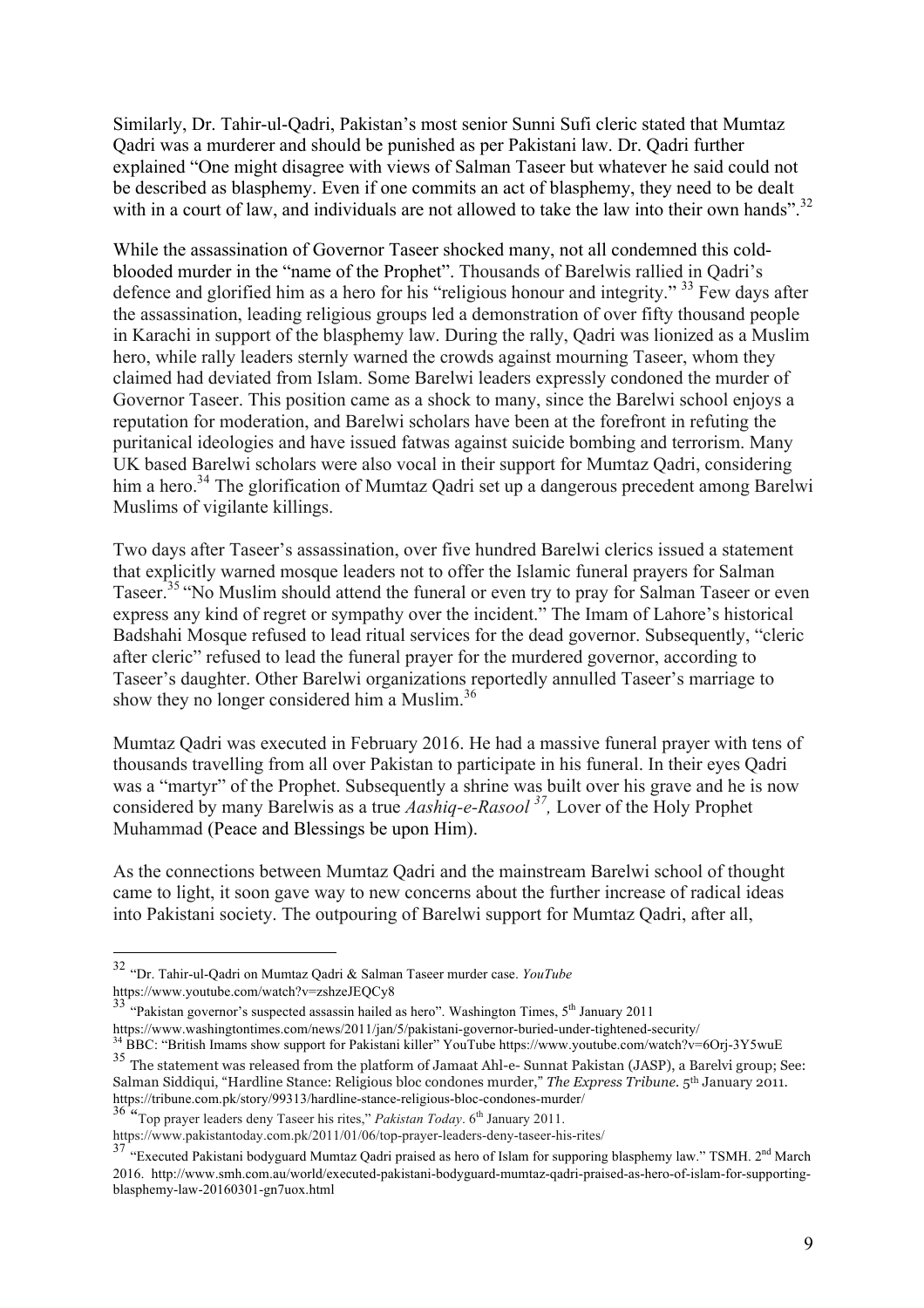Similarly, Dr. Tahir-ul-Qadri, Pakistan's most senior Sunni Sufi cleric stated that Mumtaz Qadri was a murderer and should be punished as per Pakistani law. Dr. Qadri further explained "One might disagree with views of Salman Taseer but whatever he said could not be described as blasphemy. Even if one commits an act of blasphemy, they need to be dealt with in a court of law, and individuals are not allowed to take the law into their own hands".<sup>32</sup>

While the assassination of Governor Taseer shocked many, not all condemned this coldblooded murder in the "name of the Prophet". Thousands of Barelwis rallied in Qadri's defence and glorified him as a hero for his "religious honour and integrity." <sup>33</sup> Few days after the assassination, leading religious groups led a demonstration of over fifty thousand people in Karachi in support of the blasphemy law. During the rally, Qadri was lionized as a Muslim hero, while rally leaders sternly warned the crowds against mourning Taseer, whom they claimed had deviated from Islam. Some Barelwi leaders expressly condoned the murder of Governor Taseer. This position came as a shock to many, since the Barelwi school enjoys a reputation for moderation, and Barelwi scholars have been at the forefront in refuting the puritanical ideologies and have issued fatwas against suicide bombing and terrorism. Many UK based Barelwi scholars were also vocal in their support for Mumtaz Qadri, considering him a hero.<sup>34</sup> The glorification of Mumtaz Qadri set up a dangerous precedent among Barelwi Muslims of vigilante killings.

Two days after Taseer's assassination, over five hundred Barelwi clerics issued a statement that explicitly warned mosque leaders not to offer the Islamic funeral prayers for Salman Taseer.<sup>35</sup> "No Muslim should attend the funeral or even try to pray for Salman Taseer or even express any kind of regret or sympathy over the incident." The Imam of Lahore's historical Badshahi Mosque refused to lead ritual services for the dead governor. Subsequently, "cleric after cleric" refused to lead the funeral prayer for the murdered governor, according to Taseer's daughter. Other Barelwi organizations reportedly annulled Taseer's marriage to show they no longer considered him a Muslim.<sup>36</sup>

Mumtaz Qadri was executed in February 2016. He had a massive funeral prayer with tens of thousands travelling from all over Pakistan to participate in his funeral. In their eyes Qadri was a "martyr" of the Prophet. Subsequently a shrine was built over his grave and he is now considered by many Barelwis as a true *Aashiq-e-Rasool 37,* Lover of the Holy Prophet Muhammad (Peace and Blessings be upon Him).

As the connections between Mumtaz Qadri and the mainstream Barelwi school of thought came to light, it soon gave way to new concerns about the further increase of radical ideas into Pakistani society. The outpouring of Barelwi support for Mumtaz Qadri, after all,

 $33$  "Pakistan governor's suspected assassin hailed as hero". Washington Times,  $5^{th}$  January 2011<br>https://www.washingtontimes.com/news/2011/jan/5/pakistani-governor-buried-under-tightened-security/

 <sup>32</sup> "Dr. Tahir-ul-Qadri on Mumtaz Qadri & Salman Taseer murder case. *YouTube* https://www.youtube.com/watch?v=zshzeJEQCy8

https://www.youtube.com/watch?v=6Orj-3Y5wuE<br>BBC: "British Imams show support for Pakistani killer" YouTube https://www.youtube.com/watch?v=6Orj-3Y5wuE

<sup>&</sup>lt;sup>35</sup> The statement was released from the platform of Jamaat Ahl-e- Sunnat Pakistan (JASP), a Barelvi group; See: Salman Siddiqui, "Hardline Stance: Religious bloc condones murder," *The Express Tribune.* 5th January 2011. https://tribune.com.pk/story/99313/hardline-stance-religious-bloc-condones-murder/

<sup>36</sup> "Top prayer leaders deny Taseer his rites," *Pakistan Today*. <sup>6</sup>th January 2011. https://www.pakistantoday.com.pk/2011/01/06/top-prayer-leaders-deny-taseer-his-rites/

<sup>&</sup>lt;sup>37</sup> "Executed Pakistani bodyguard Mumtaz Qadri praised as hero of Islam for supporing blasphemy law." TSMH. 2<sup>nd</sup> March 2016. http://www.smh.com.au/world/executed-pakistani-bodyguard-mumtaz-qadri-praised-as-hero-of-islam-for-supportingblasphemy-law-20160301-gn7uox.html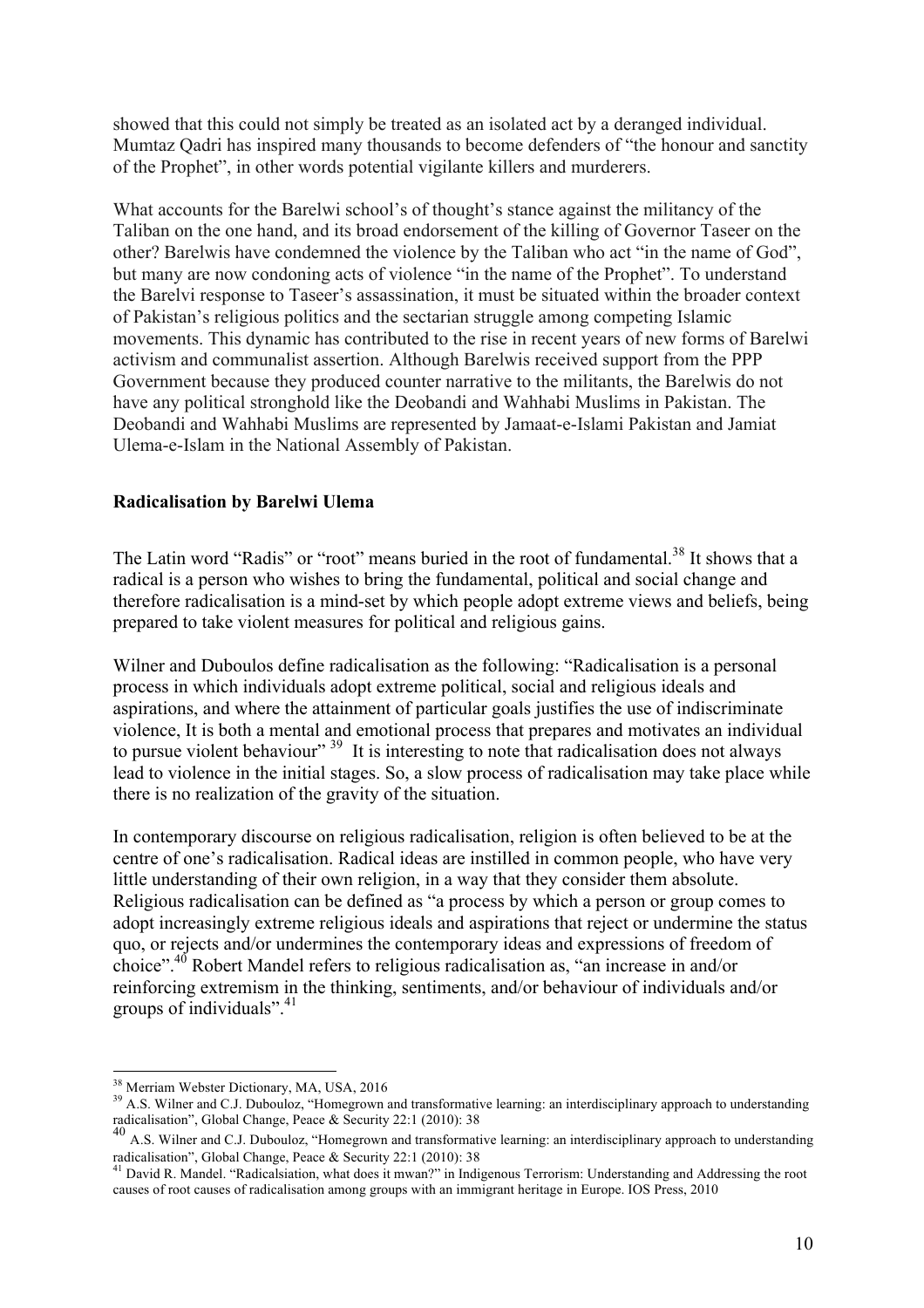showed that this could not simply be treated as an isolated act by a deranged individual. Mumtaz Qadri has inspired many thousands to become defenders of "the honour and sanctity of the Prophet", in other words potential vigilante killers and murderers.

What accounts for the Barelwi school's of thought's stance against the militancy of the Taliban on the one hand, and its broad endorsement of the killing of Governor Taseer on the other? Barelwis have condemned the violence by the Taliban who act "in the name of God", but many are now condoning acts of violence "in the name of the Prophet". To understand the Barelvi response to Taseer's assassination, it must be situated within the broader context of Pakistan's religious politics and the sectarian struggle among competing Islamic movements. This dynamic has contributed to the rise in recent years of new forms of Barelwi activism and communalist assertion. Although Barelwis received support from the PPP Government because they produced counter narrative to the militants, the Barelwis do not have any political stronghold like the Deobandi and Wahhabi Muslims in Pakistan. The Deobandi and Wahhabi Muslims are represented by Jamaat-e-Islami Pakistan and Jamiat Ulema-e-Islam in the National Assembly of Pakistan.

#### **Radicalisation by Barelwi Ulema**

The Latin word "Radis" or "root" means buried in the root of fundamental.<sup>38</sup> It shows that a radical is a person who wishes to bring the fundamental, political and social change and therefore radicalisation is a mind-set by which people adopt extreme views and beliefs, being prepared to take violent measures for political and religious gains.

Wilner and Duboulos define radicalisation as the following: "Radicalisation is a personal process in which individuals adopt extreme political, social and religious ideals and aspirations, and where the attainment of particular goals justifies the use of indiscriminate violence, It is both a mental and emotional process that prepares and motivates an individual to pursue violent behaviour" 39 It is interesting to note that radicalisation does not always lead to violence in the initial stages. So, a slow process of radicalisation may take place while there is no realization of the gravity of the situation.

In contemporary discourse on religious radicalisation, religion is often believed to be at the centre of one's radicalisation. Radical ideas are instilled in common people, who have very little understanding of their own religion, in a way that they consider them absolute. Religious radicalisation can be defined as "a process by which a person or group comes to adopt increasingly extreme religious ideals and aspirations that reject or undermine the status quo, or rejects and/or undermines the contemporary ideas and expressions of freedom of choice".40 Robert Mandel refers to religious radicalisation as, "an increase in and/or reinforcing extremism in the thinking, sentiments, and/or behaviour of individuals and/or groups of individuals".<sup>41</sup>

<sup>&</sup>lt;sup>38</sup> Merriam Webster Dictionary, MA, USA, 2016<br><sup>39</sup> A.S. Wilner and C.J. Dubouloz, "Homegrown and transformative learning: an interdisciplinary approach to understanding radicalisation", Global Change, Peace & Security 22:1 (2010): 38

<sup>40&</sup>lt;br>A.S. Wilner and C.J. Dubouloz, "Homegrown and transformative learning: an interdisciplinary approach to understanding<br>radicalisation", Global Change, Peace & Security 22:1 (2010): 38

<sup>&</sup>lt;sup>41</sup> David R. Mandel. "Radicalsiation, what does it mwan?" in Indigenous Terrorism: Understanding and Addressing the root causes of root causes of radicalisation among groups with an immigrant heritage in Europe. IOS Press, 2010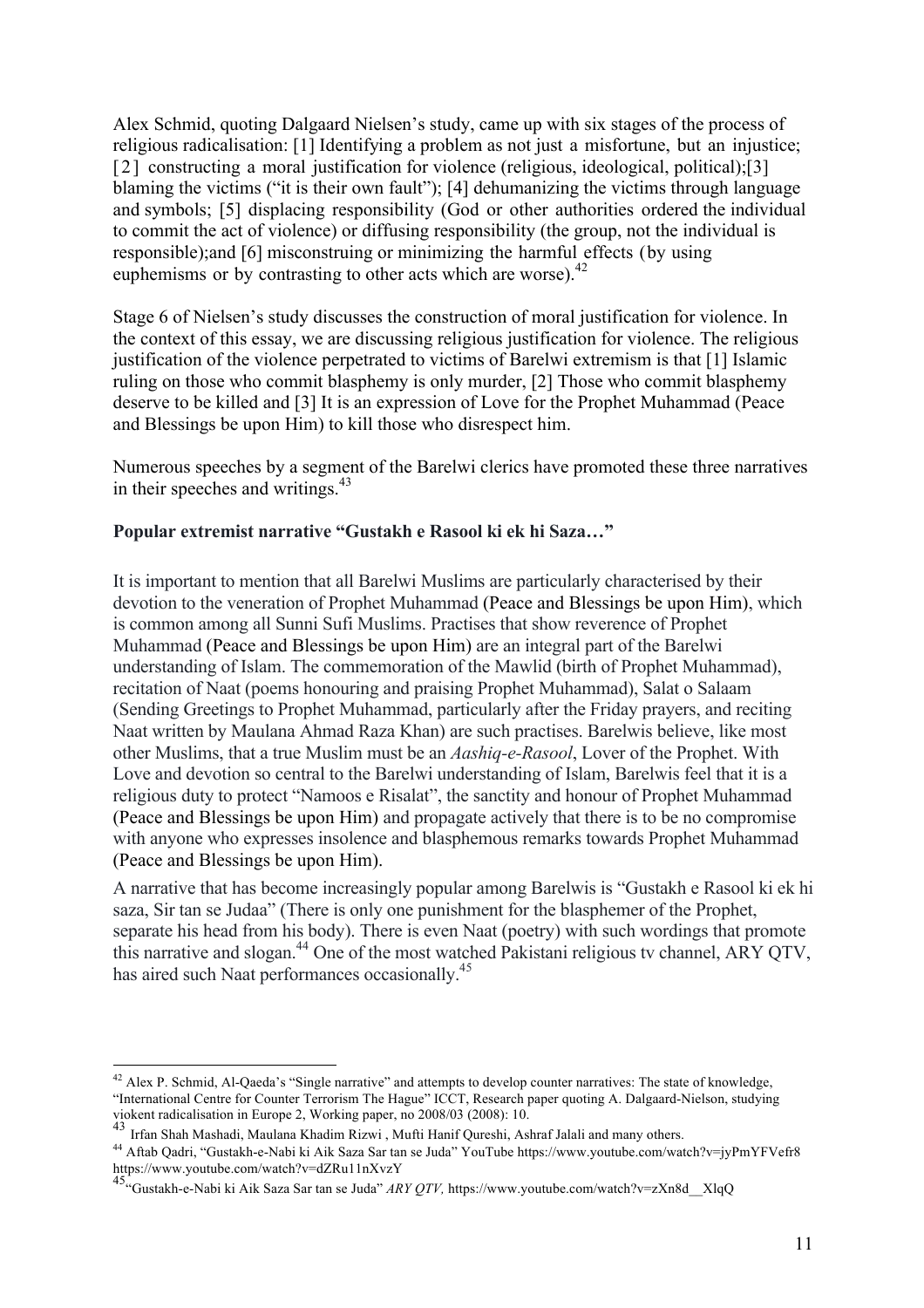Alex Schmid, quoting Dalgaard Nielsen's study, came up with six stages of the process of religious radicalisation: [1] Identifying a problem as not just a misfortune, but an injustice; [2] constructing a moral justification for violence (religious, ideological, political);[3] blaming the victims ("it is their own fault"); [4] dehumanizing the victims through language and symbols; [5] displacing responsibility (God or other authorities ordered the individual to commit the act of violence) or diffusing responsibility (the group, not the individual is responsible);and [6] misconstruing or minimizing the harmful effects (by using euphemisms or by contrasting to other acts which are worse). $^{42}$ 

Stage 6 of Nielsen's study discusses the construction of moral justification for violence. In the context of this essay, we are discussing religious justification for violence. The religious justification of the violence perpetrated to victims of Barelwi extremism is that [1] Islamic ruling on those who commit blasphemy is only murder, [2] Those who commit blasphemy deserve to be killed and [3] It is an expression of Love for the Prophet Muhammad (Peace and Blessings be upon Him) to kill those who disrespect him.

Numerous speeches by a segment of the Barelwi clerics have promoted these three narratives in their speeches and writings. $43$ 

#### **Popular extremist narrative "Gustakh e Rasool ki ek hi Saza…"**

It is important to mention that all Barelwi Muslims are particularly characterised by their devotion to the veneration of Prophet Muhammad (Peace and Blessings be upon Him), which is common among all Sunni Sufi Muslims. Practises that show reverence of Prophet Muhammad (Peace and Blessings be upon Him) are an integral part of the Barelwi understanding of Islam. The commemoration of the Mawlid (birth of Prophet Muhammad), recitation of Naat (poems honouring and praising Prophet Muhammad), Salat o Salaam (Sending Greetings to Prophet Muhammad, particularly after the Friday prayers, and reciting Naat written by Maulana Ahmad Raza Khan) are such practises. Barelwis believe, like most other Muslims, that a true Muslim must be an *Aashiq-e-Rasool*, Lover of the Prophet. With Love and devotion so central to the Barelwi understanding of Islam, Barelwis feel that it is a religious duty to protect "Namoos e Risalat", the sanctity and honour of Prophet Muhammad (Peace and Blessings be upon Him) and propagate actively that there is to be no compromise with anyone who expresses insolence and blasphemous remarks towards Prophet Muhammad (Peace and Blessings be upon Him).

A narrative that has become increasingly popular among Barelwis is "Gustakh e Rasool ki ek hi saza, Sir tan se Judaa" (There is only one punishment for the blasphemer of the Prophet, separate his head from his body). There is even Naat (poetry) with such wordings that promote this narrative and slogan.44 One of the most watched Pakistani religious tv channel, ARY QTV, has aired such Naat performances occasionally.<sup>45</sup>

<sup>&</sup>lt;sup>42</sup> Alex P. Schmid, Al-Qaeda's "Single narrative" and attempts to develop counter narratives: The state of knowledge, "International Centre for Counter Terrorism The Hague" ICCT, Research paper quoting A. Dalgaard-Nielson, studying viokent radicalisation in Europe 2, Working paper, no 2008/03 (2008): 10.

<sup>43</sup> Irfan Shah Mashadi, Maulana Khadim Rizwi , Mufti Hanif Qureshi, Ashraf Jalali and many others.

<sup>44</sup> Aftab Qadri, "Gustakh-e-Nabi ki Aik Saza Sar tan se Juda" YouTube https://www.youtube.com/watch?v=jyPmYFVefr8 https://www.youtube.com/watch?v=dZRu11nXvzY

<sup>45&</sup>quot;Gustakh-e-Nabi ki Aik Saza Sar tan se Juda" *ARY QTV,* https://www.youtube.com/watch?v=zXn8d\_\_XlqQ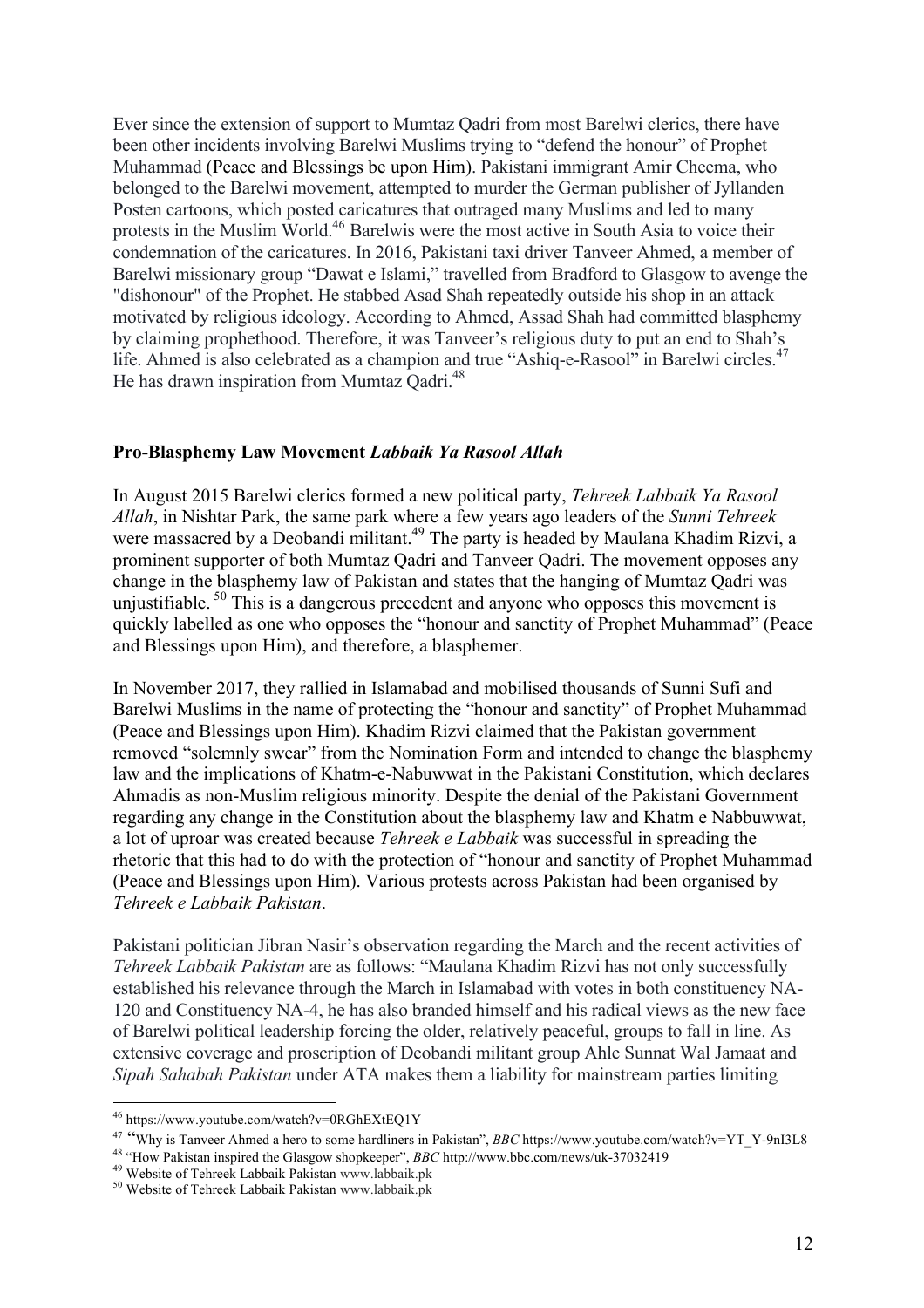Ever since the extension of support to Mumtaz Qadri from most Barelwi clerics, there have been other incidents involving Barelwi Muslims trying to "defend the honour" of Prophet Muhammad (Peace and Blessings be upon Him). Pakistani immigrant Amir Cheema, who belonged to the Barelwi movement, attempted to murder the German publisher of Jyllanden Posten cartoons, which posted caricatures that outraged many Muslims and led to many protests in the Muslim World.46 Barelwis were the most active in South Asia to voice their condemnation of the caricatures. In 2016, Pakistani taxi driver Tanveer Ahmed, a member of Barelwi missionary group "Dawat e Islami," travelled from Bradford to Glasgow to avenge the "dishonour" of the Prophet. He stabbed Asad Shah repeatedly outside his shop in an attack motivated by religious ideology. According to Ahmed, Assad Shah had committed blasphemy by claiming prophethood. Therefore, it was Tanveer's religious duty to put an end to Shah's life. Ahmed is also celebrated as a champion and true "Ashiq-e-Rasool" in Barelwi circles.<sup>47</sup> He has drawn inspiration from Mumtaz Qadri.<sup>48</sup>

#### **Pro-Blasphemy Law Movement** *Labbaik Ya Rasool Allah*

In August 2015 Barelwi clerics formed a new political party, *Tehreek Labbaik Ya Rasool Allah*, in Nishtar Park, the same park where a few years ago leaders of the *Sunni Tehreek* were massacred by a Deobandi militant.<sup>49</sup> The party is headed by Maulana Khadim Rizvi, a prominent supporter of both Mumtaz Qadri and Tanveer Qadri. The movement opposes any change in the blasphemy law of Pakistan and states that the hanging of Mumtaz Qadri was unjustifiable.<sup>50</sup> This is a dangerous precedent and anyone who opposes this movement is quickly labelled as one who opposes the "honour and sanctity of Prophet Muhammad" (Peace and Blessings upon Him), and therefore, a blasphemer.

In November 2017, they rallied in Islamabad and mobilised thousands of Sunni Sufi and Barelwi Muslims in the name of protecting the "honour and sanctity" of Prophet Muhammad (Peace and Blessings upon Him). Khadim Rizvi claimed that the Pakistan government removed "solemnly swear" from the Nomination Form and intended to change the blasphemy law and the implications of Khatm-e-Nabuwwat in the Pakistani Constitution, which declares Ahmadis as non-Muslim religious minority. Despite the denial of the Pakistani Government regarding any change in the Constitution about the blasphemy law and Khatm e Nabbuwwat, a lot of uproar was created because *Tehreek e Labbaik* was successful in spreading the rhetoric that this had to do with the protection of "honour and sanctity of Prophet Muhammad (Peace and Blessings upon Him). Various protests across Pakistan had been organised by *Tehreek e Labbaik Pakistan*.

Pakistani politician Jibran Nasir's observation regarding the March and the recent activities of *Tehreek Labbaik Pakistan* are as follows: "Maulana Khadim Rizvi has not only successfully established his relevance through the March in Islamabad with votes in both constituency NA-120 and Constituency NA-4, he has also branded himself and his radical views as the new face of Barelwi political leadership forcing the older, relatively peaceful, groups to fall in line. As extensive coverage and proscription of Deobandi militant group Ahle Sunnat Wal Jamaat and *Sipah Sahabah Pakistan* under ATA makes them a liability for mainstream parties limiting

 <sup>46</sup> https://www.youtube.com/watch?v=0RGhEXtEQ1Y

<sup>&</sup>lt;sup>47</sup> "Why is Tanveer Ahmed a hero to some hardliners in Pakistan", *BBC* https://www.youtube.com/watch?v=YT\_Y-9nI3L8 <sup>48</sup> "How Pakistan inspired the Glasgow shopkeeper", *BBC* http://www.bbc.com/news/uk-37032419 Website of Tehreek Labbaik Pakistan www.labbaik.pk <sup>50</sup> Website of Tehreek Labbaik Pakistan www.labbaik.pk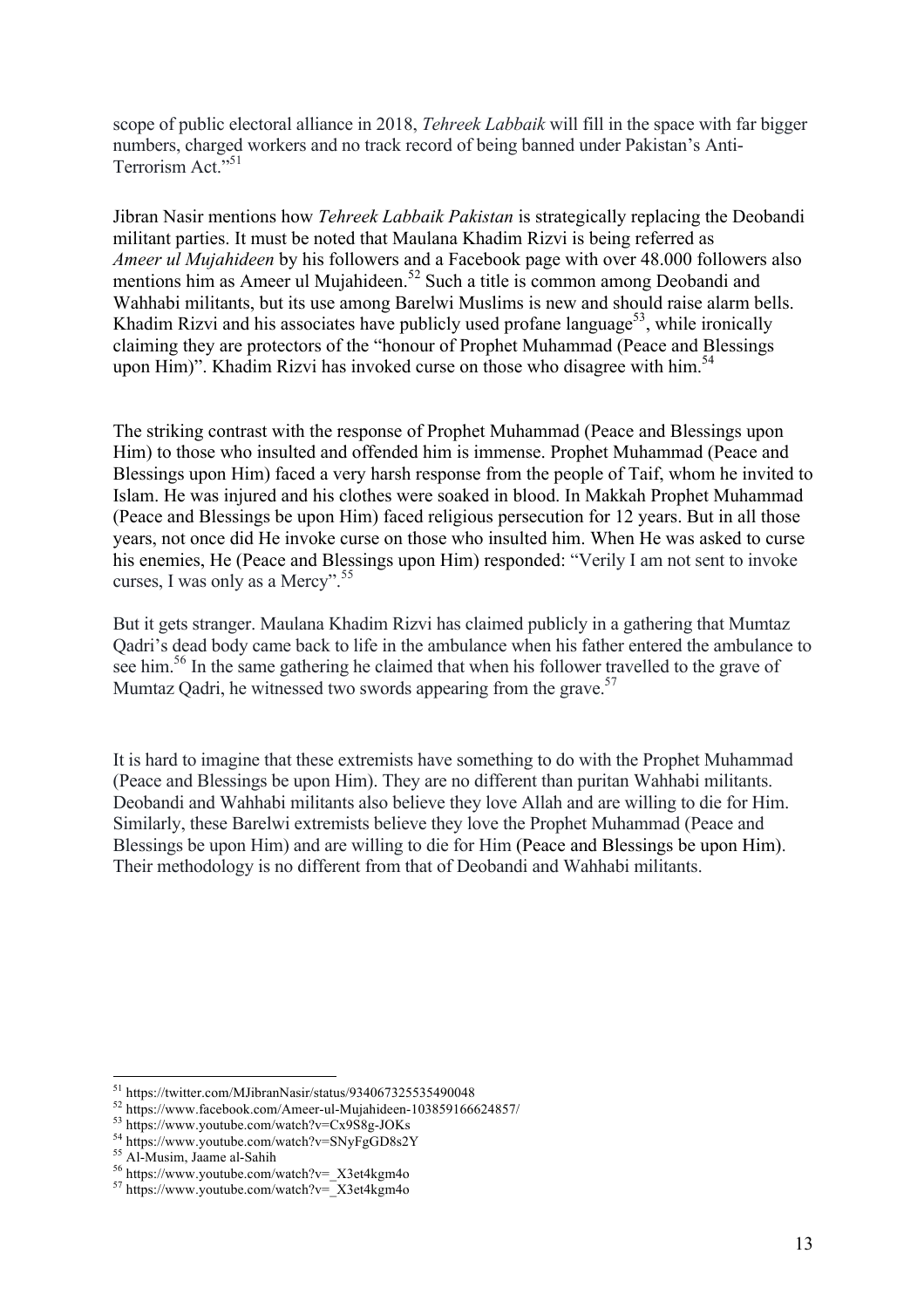scope of public electoral alliance in 2018, *Tehreek Labbaik* will fill in the space with far bigger numbers, charged workers and no track record of being banned under Pakistan's Anti-Terrorism Act."51

Jibran Nasir mentions how *Tehreek Labbaik Pakistan* is strategically replacing the Deobandi militant parties. It must be noted that Maulana Khadim Rizvi is being referred as *Ameer ul Mujahideen* by his followers and a Facebook page with over 48.000 followers also mentions him as Ameer ul Mujahideen.<sup>52</sup> Such a title is common among Deobandi and Wahhabi militants, but its use among Barelwi Muslims is new and should raise alarm bells. Khadim Rizvi and his associates have publicly used profane language<sup>53</sup>, while ironically claiming they are protectors of the "honour of Prophet Muhammad (Peace and Blessings upon Him)". Khadim Rizvi has invoked curse on those who disagree with him.<sup>54</sup>

The striking contrast with the response of Prophet Muhammad (Peace and Blessings upon Him) to those who insulted and offended him is immense. Prophet Muhammad (Peace and Blessings upon Him) faced a very harsh response from the people of Taif, whom he invited to Islam. He was injured and his clothes were soaked in blood. In Makkah Prophet Muhammad (Peace and Blessings be upon Him) faced religious persecution for 12 years. But in all those years, not once did He invoke curse on those who insulted him. When He was asked to curse his enemies, He (Peace and Blessings upon Him) responded: "Verily I am not sent to invoke curses, I was only as a Mercy".<sup>55</sup>

But it gets stranger. Maulana Khadim Rizvi has claimed publicly in a gathering that Mumtaz Qadri's dead body came back to life in the ambulance when his father entered the ambulance to see him.<sup>56</sup> In the same gathering he claimed that when his follower travelled to the grave of Mumtaz Qadri, he witnessed two swords appearing from the grave.<sup>57</sup>

It is hard to imagine that these extremists have something to do with the Prophet Muhammad (Peace and Blessings be upon Him). They are no different than puritan Wahhabi militants. Deobandi and Wahhabi militants also believe they love Allah and are willing to die for Him. Similarly, these Barelwi extremists believe they love the Prophet Muhammad (Peace and Blessings be upon Him) and are willing to die for Him (Peace and Blessings be upon Him). Their methodology is no different from that of Deobandi and Wahhabi militants.

<sup>&</sup>lt;sup>51</sup> https://twitter.com/MJibranNasir/status/934067325535490048<br><sup>52</sup> https://www.facebook.com/Ameer-ul-Mujahideen-103859166624857/<br><sup>53</sup> https://www.youtube.com/watch?v=Cx9S8g-JOKs<br><sup>54</sup> https://www.youtube.com/watch?v=SNyF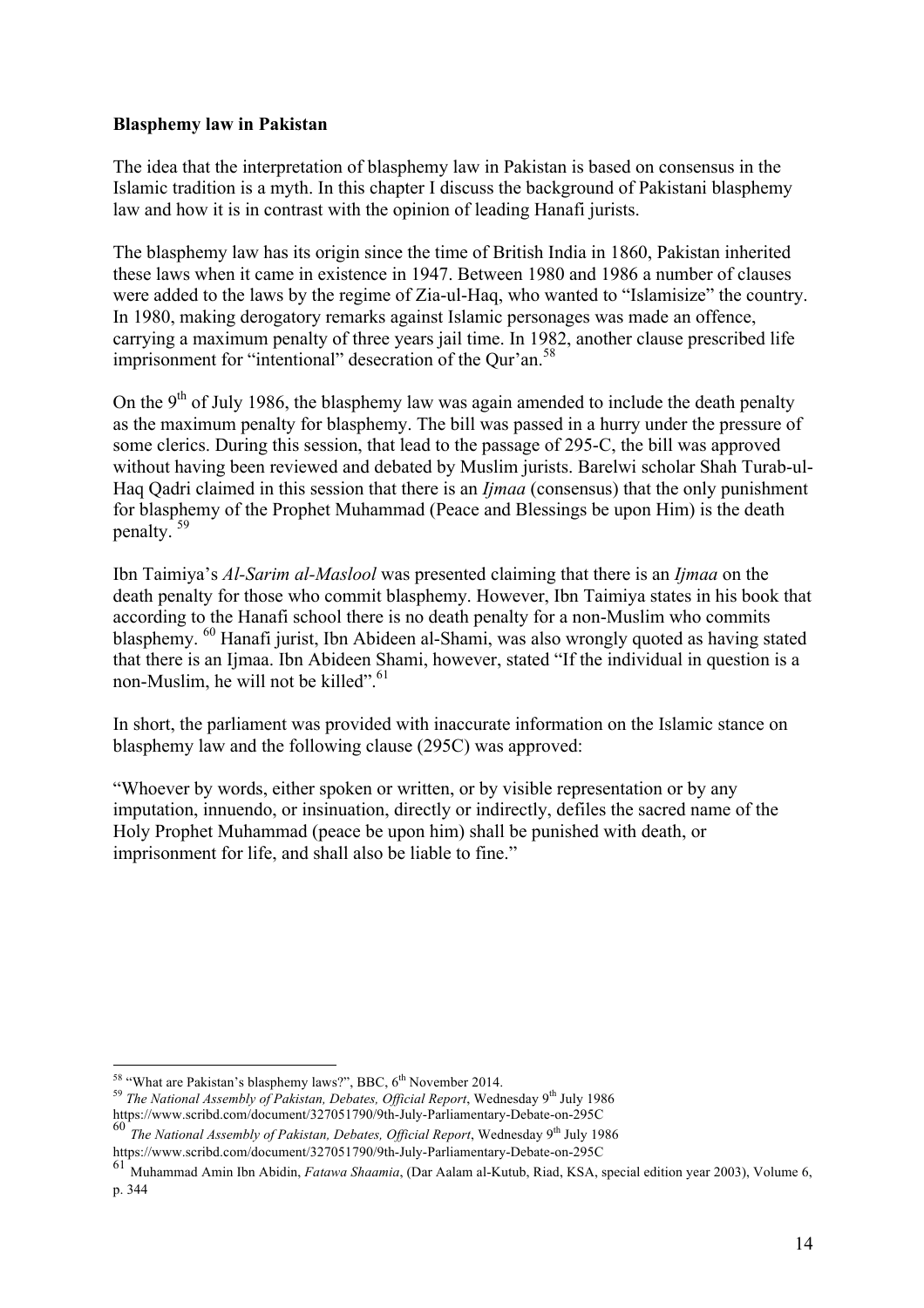### **Blasphemy law in Pakistan**

The idea that the interpretation of blasphemy law in Pakistan is based on consensus in the Islamic tradition is a myth. In this chapter I discuss the background of Pakistani blasphemy law and how it is in contrast with the opinion of leading Hanafi jurists.

The blasphemy law has its origin since the time of British India in 1860, Pakistan inherited these laws when it came in existence in 1947. Between 1980 and 1986 a number of clauses were added to the laws by the regime of Zia-ul-Haq, who wanted to "Islamisize" the country. In 1980, making derogatory remarks against Islamic personages was made an offence, carrying a maximum penalty of three years jail time. In 1982, another clause prescribed life imprisonment for "intentional" desecration of the Our'an.<sup>58</sup>

On the  $9<sup>th</sup>$  of July 1986, the blasphemy law was again amended to include the death penalty as the maximum penalty for blasphemy. The bill was passed in a hurry under the pressure of some clerics. During this session, that lead to the passage of 295-C, the bill was approved without having been reviewed and debated by Muslim jurists. Barelwi scholar Shah Turab-ul-Haq Qadri claimed in this session that there is an *Ijmaa* (consensus) that the only punishment for blasphemy of the Prophet Muhammad (Peace and Blessings be upon Him) is the death penalty. <sup>59</sup>

Ibn Taimiya's *Al-Sarim al-Maslool* was presented claiming that there is an *Ijmaa* on the death penalty for those who commit blasphemy. However, Ibn Taimiya states in his book that according to the Hanafi school there is no death penalty for a non-Muslim who commits blasphemy. <sup>60</sup> Hanafi jurist, Ibn Abideen al-Shami, was also wrongly quoted as having stated that there is an Ijmaa. Ibn Abideen Shami, however, stated "If the individual in question is a non-Muslim, he will not be killed".<sup>61</sup>

In short, the parliament was provided with inaccurate information on the Islamic stance on blasphemy law and the following clause (295C) was approved:

"Whoever by words, either spoken or written, or by visible representation or by any imputation, innuendo, or insinuation, directly or indirectly, defiles the sacred name of the Holy Prophet Muhammad (peace be upon him) shall be punished with death, or imprisonment for life, and shall also be liable to fine."

<sup>&</sup>lt;sup>58</sup> "What are Pakistan's blasphemy laws?", BBC, 6<sup>th</sup> November 2014.<br><sup>59</sup> *The National Assembly of Pakistan, Debates, Official Report*, Wednesday 9<sup>th</sup> July 1986

https://www.scribd.com/document/327051790/9th-July-Parliamentary-Debate-on-295C

<sup>60</sup> *The National Assembly of Pakistan, Debates, Official Report*, Wednesday 9th July 1986

https://www.scribd.com/document/327051790/9th-July-Parliamentary-Debate-on-295C

<sup>61</sup> Muhammad Amin Ibn Abidin, *Fatawa Shaamia*, (Dar Aalam al-Kutub, Riad, KSA, special edition year 2003), Volume 6, p. 344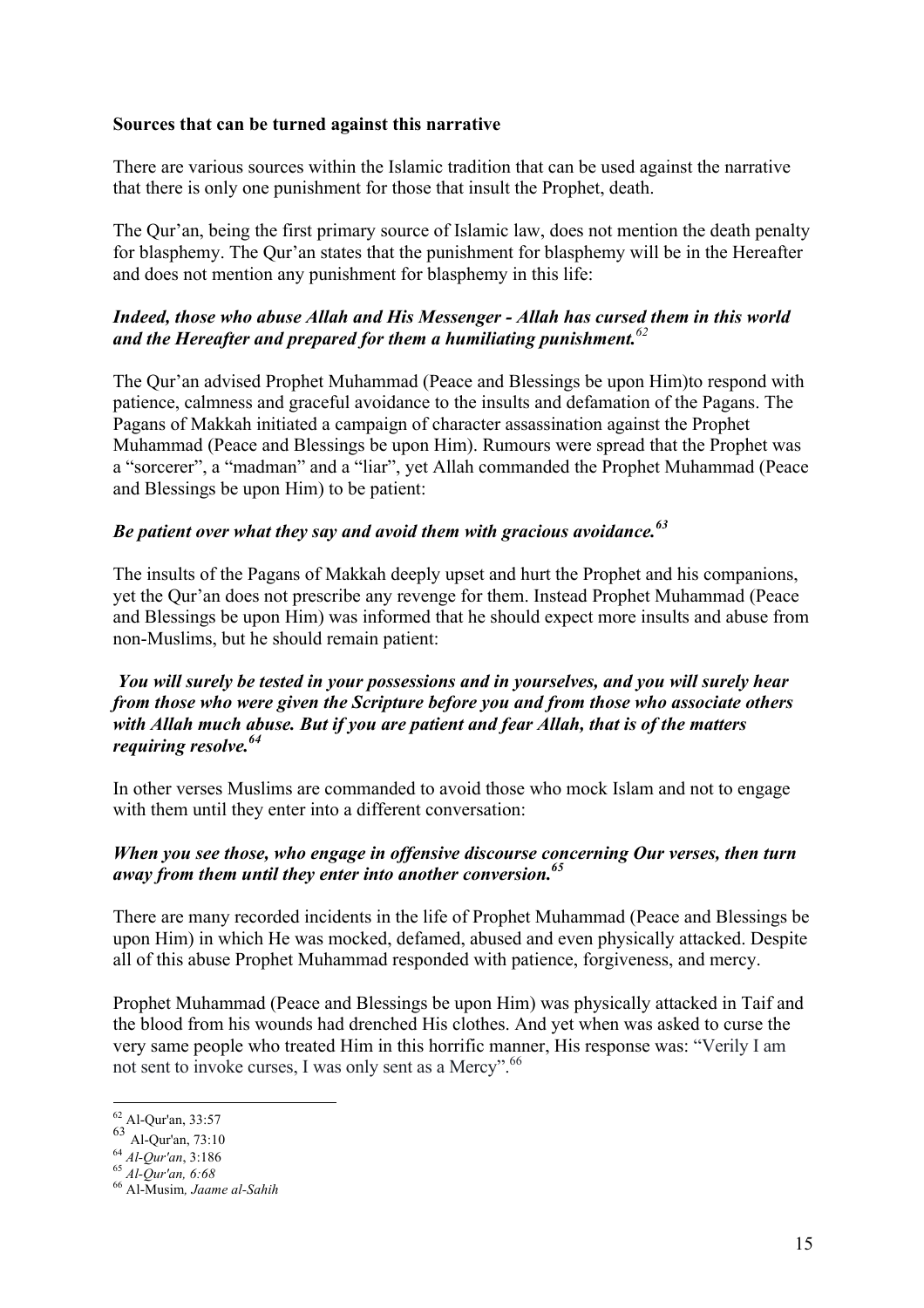### **Sources that can be turned against this narrative**

There are various sources within the Islamic tradition that can be used against the narrative that there is only one punishment for those that insult the Prophet, death.

The Qur'an, being the first primary source of Islamic law, does not mention the death penalty for blasphemy. The Qur'an states that the punishment for blasphemy will be in the Hereafter and does not mention any punishment for blasphemy in this life:

## *Indeed, those who abuse Allah and His Messenger - Allah has cursed them in this world and the Hereafter and prepared for them a humiliating punishment. 62*

The Qur'an advised Prophet Muhammad (Peace and Blessings be upon Him)to respond with patience, calmness and graceful avoidance to the insults and defamation of the Pagans. The Pagans of Makkah initiated a campaign of character assassination against the Prophet Muhammad (Peace and Blessings be upon Him). Rumours were spread that the Prophet was a "sorcerer", a "madman" and a "liar", yet Allah commanded the Prophet Muhammad (Peace and Blessings be upon Him) to be patient:

## *Be patient over what they say and avoid them with gracious avoidance.<sup>63</sup>*

The insults of the Pagans of Makkah deeply upset and hurt the Prophet and his companions, yet the Qur'an does not prescribe any revenge for them. Instead Prophet Muhammad (Peace and Blessings be upon Him) was informed that he should expect more insults and abuse from non-Muslims, but he should remain patient:

## *You will surely be tested in your possessions and in yourselves, and you will surely hear from those who were given the Scripture before you and from those who associate others with Allah much abuse. But if you are patient and fear Allah, that is of the matters requiring resolve.<sup>64</sup>*

In other verses Muslims are commanded to avoid those who mock Islam and not to engage with them until they enter into a different conversation:

### *When you see those, who engage in offensive discourse concerning Our verses, then turn away from them until they enter into another conversion.65*

There are many recorded incidents in the life of Prophet Muhammad (Peace and Blessings be upon Him) in which He was mocked, defamed, abused and even physically attacked. Despite all of this abuse Prophet Muhammad responded with patience, forgiveness, and mercy.

Prophet Muhammad (Peace and Blessings be upon Him) was physically attacked in Taif and the blood from his wounds had drenched His clothes. And yet when was asked to curse the very same people who treated Him in this horrific manner, His response was: "Verily I am not sent to invoke curses, I was only sent as a Mercy".<sup>66</sup>

 <sup>62</sup> Al-Qur'an, 33:57

 $63$  Al-Qur'an, 73:10<br> $64$  Al-Qur'an, 3:186

<sup>64</sup> *Al-Qur'an*, 3:186 <sup>65</sup> *Al-Qur'an, 6:68* <sup>66</sup> Al-Musim*, Jaame al-Sahih*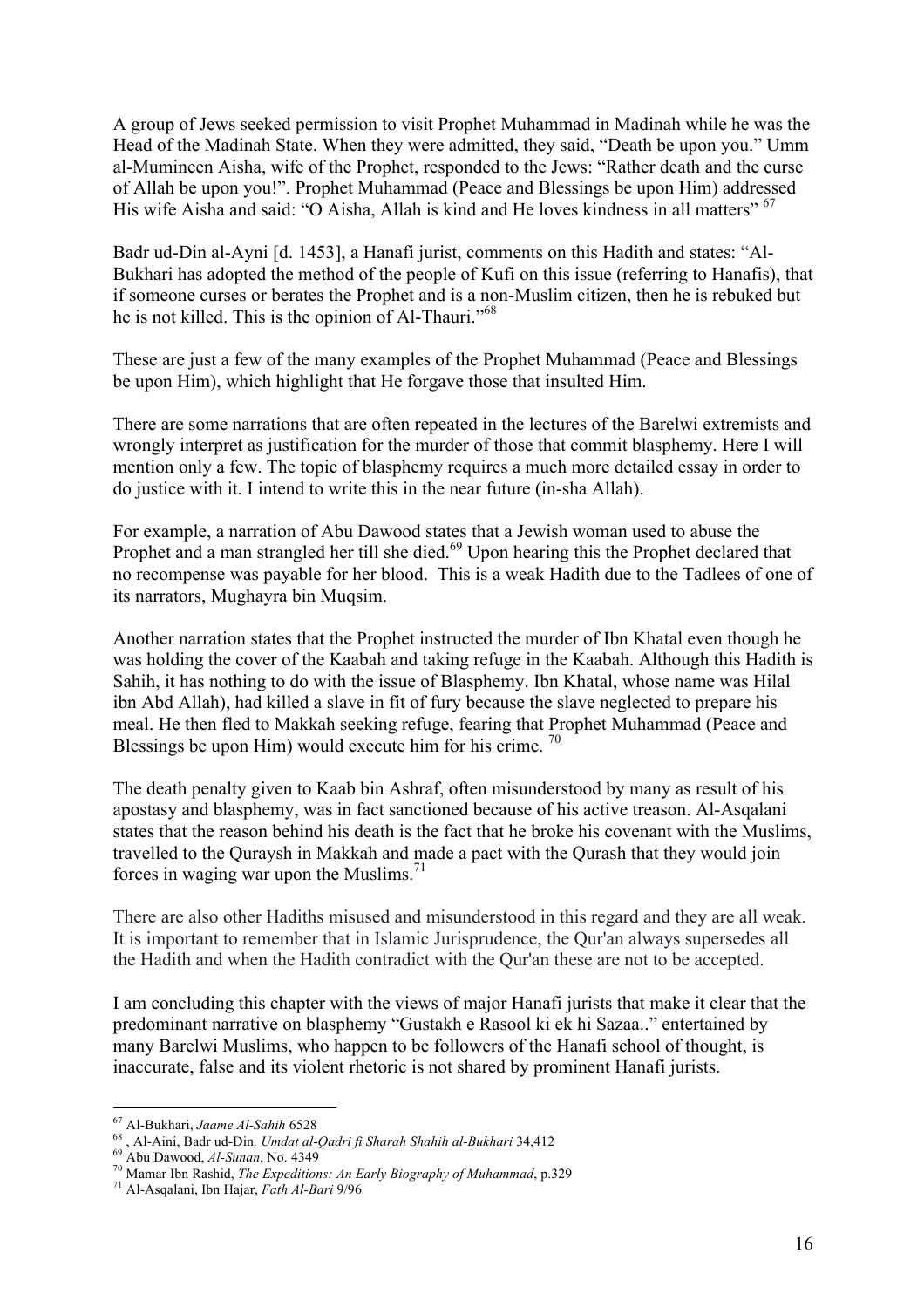A group of Jews seeked permission to visit Prophet Muhammad in Madinah while he was the Head of the Madinah State. When they were admitted, they said, "Death be upon you." Umm al-Mumineen Aisha, wife of the Prophet, responded to the Jews: "Rather death and the curse of Allah be upon you!". Prophet Muhammad (Peace and Blessings be upon Him) addressed His wife Aisha and said: "O Aisha, Allah is kind and He loves kindness in all matters" <sup>67</sup>

Badr ud-Din al-Ayni [d. 1453], a Hanafi jurist, comments on this Hadith and states: "Al-Bukhari has adopted the method of the people of Kufi on this issue (referring to Hanafis), that if someone curses or berates the Prophet and is a non-Muslim citizen, then he is rebuked but he is not killed. This is the opinion of Al-Thauri."<sup>68</sup>

These are just a few of the many examples of the Prophet Muhammad (Peace and Blessings be upon Him), which highlight that He forgave those that insulted Him.

There are some narrations that are often repeated in the lectures of the Barelwi extremists and wrongly interpret as justification for the murder of those that commit blasphemy. Here I will mention only a few. The topic of blasphemy requires a much more detailed essay in order to do justice with it. I intend to write this in the near future (in-sha Allah).

For example, a narration of Abu Dawood states that a Jewish woman used to abuse the Prophet and a man strangled her till she died.<sup>69</sup> Upon hearing this the Prophet declared that no recompense was payable for her blood. This is a weak Hadith due to the Tadlees of one of its narrators, Mughayra bin Muqsim.

Another narration states that the Prophet instructed the murder of Ibn Khatal even though he was holding the cover of the Kaabah and taking refuge in the Kaabah. Although this Hadith is Sahih, it has nothing to do with the issue of Blasphemy. Ibn Khatal, whose name was Hilal ibn Abd Allah), had killed a slave in fit of fury because the slave neglected to prepare his meal. He then fled to Makkah seeking refuge, fearing that Prophet Muhammad (Peace and Blessings be upon Him) would execute him for his crime.  $\frac{70}{2}$ 

The death penalty given to Kaab bin Ashraf, often misunderstood by many as result of his apostasy and blasphemy, was in fact sanctioned because of his active treason. Al-Asqalani states that the reason behind his death is the fact that he broke his covenant with the Muslims, travelled to the Quraysh in Makkah and made a pact with the Qurash that they would join forces in waging war upon the Muslims.<sup>71</sup>

There are also other Hadiths misused and misunderstood in this regard and they are all weak. It is important to remember that in Islamic Jurisprudence, the Qur'an always supersedes all the Hadith and when the Hadith contradict with the Qur'an these are not to be accepted.

I am concluding this chapter with the views of major Hanafi jurists that make it clear that the predominant narrative on blasphemy "Gustakh e Rasool ki ek hi Sazaa.." entertained by many Barelwi Muslims, who happen to be followers of the Hanafi school of thought, is inaccurate, false and its violent rhetoric is not shared by prominent Hanafi jurists.

<sup>&</sup>lt;sup>67</sup> Al-Bukhari, *Jaame Al-Sahih* 6528<br><sup>68</sup>, Al-Aini, Badr ud-Din, *Umdat al-Qadri fi Sharah Shahih al-Bukhari* 34,412<br><sup>69</sup> Abu Dawood, *Al-Sunan*, No. 4349<br><sup>70</sup> Mamar Ibn Rashid, *The Expeditions: An Early Biography of M*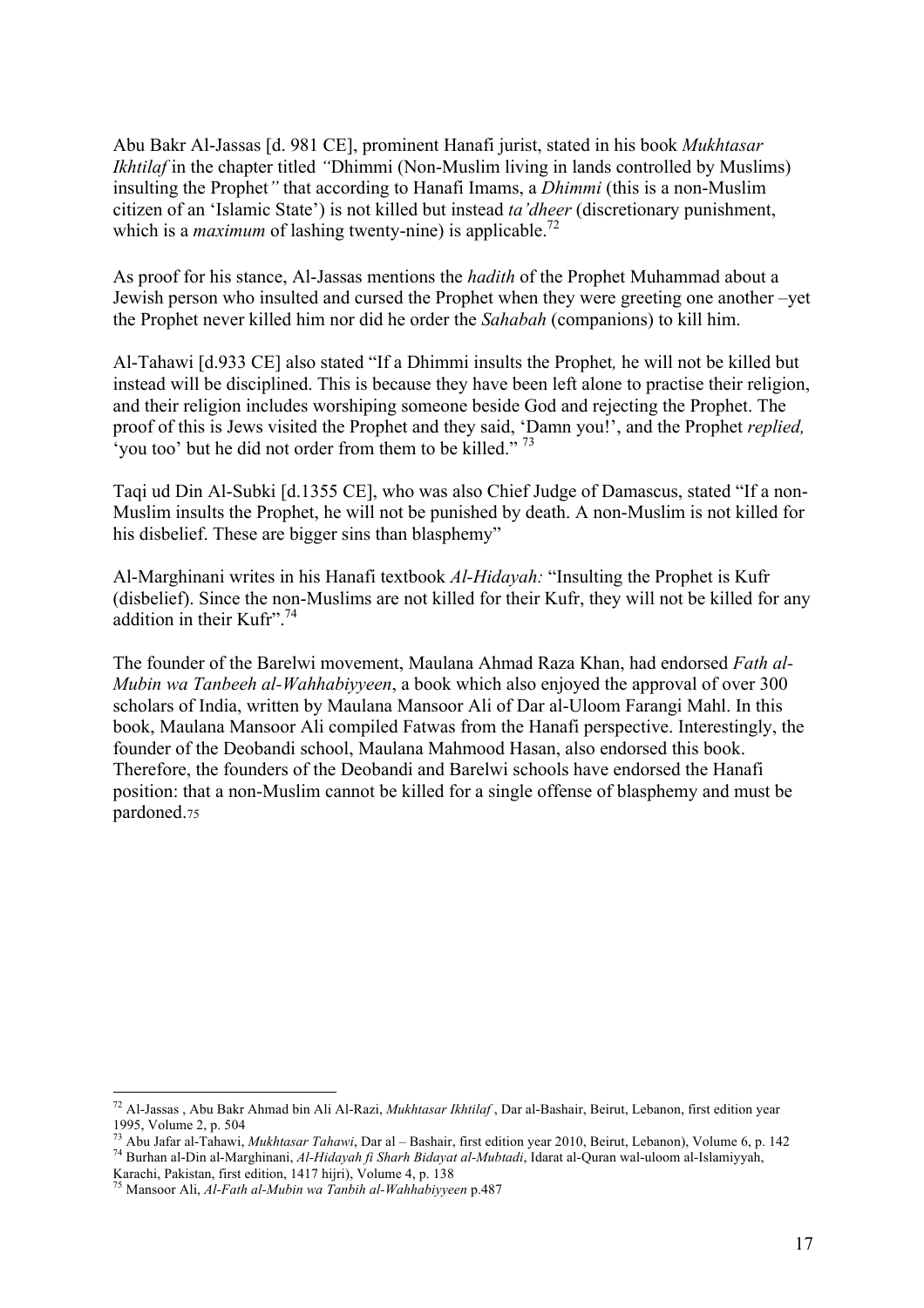Abu Bakr Al-Jassas [d. 981 CE], prominent Hanafi jurist, stated in his book *Mukhtasar Ikhtilaf* in the chapter titled *"*Dhimmi (Non-Muslim living in lands controlled by Muslims) insulting the Prophet*"* that according to Hanafi Imams, a *Dhimmi* (this is a non-Muslim citizen of an 'Islamic State') is not killed but instead *ta'dheer* (discretionary punishment, which is a *maximum* of lashing twenty-nine) is applicable.<sup>72</sup>

As proof for his stance, Al-Jassas mentions the *hadith* of the Prophet Muhammad about a Jewish person who insulted and cursed the Prophet when they were greeting one another –yet the Prophet never killed him nor did he order the *Sahabah* (companions) to kill him.

Al-Tahawi [d.933 CE] also stated "If a Dhimmi insults the Prophet*,* he will not be killed but instead will be disciplined. This is because they have been left alone to practise their religion, and their religion includes worshiping someone beside God and rejecting the Prophet. The proof of this is Jews visited the Prophet and they said, 'Damn you!', and the Prophet *replied,* 'you too' but he did not order from them to be killed."<sup>73</sup>

Taqi ud Din Al-Subki [d.1355 CE], who was also Chief Judge of Damascus, stated "If a non-Muslim insults the Prophet, he will not be punished by death. A non-Muslim is not killed for his disbelief. These are bigger sins than blasphemy"

Al-Marghinani writes in his Hanafi textbook *Al-Hidayah:* "Insulting the Prophet is Kufr (disbelief). Since the non-Muslims are not killed for their Kufr, they will not be killed for any addition in their Kufr".  $74$ 

The founder of the Barelwi movement, Maulana Ahmad Raza Khan, had endorsed *Fath al-Mubin wa Tanbeeh al-Wahhabiyyeen*, a book which also enjoyed the approval of over 300 scholars of India, written by Maulana Mansoor Ali of Dar al-Uloom Farangi Mahl. In this book, Maulana Mansoor Ali compiled Fatwas from the Hanafi perspective. Interestingly, the founder of the Deobandi school, Maulana Mahmood Hasan, also endorsed this book. Therefore, the founders of the Deobandi and Barelwi schools have endorsed the Hanafi position: that a non-Muslim cannot be killed for a single offense of blasphemy and must be pardoned.75

 <sup>72</sup> Al-Jassas , Abu Bakr Ahmad bin Ali Al-Razi, *Mukhtasar Ikhtilaf* , Dar al-Bashair, Beirut, Lebanon, first edition year

<sup>1995,</sup> Volume 2, p. 504<br><sup>73</sup> Abu Jafar al-Tahawi, *Mukhtasar Tahawi*, Dar al – Bashair, first edition year 2010, Beirut, Lebanon), Volume 6, p. 142 <sup>74</sup> Burhan al-Din al-Marghinani, Al-Hidayah fi Sharh Bidayat al-Mubtadi, Idarat al-Quran wal-uloom al-Islamiyyah,

Karachi, Pakistan, first edition, 1417 hijri), Volume 4, p. 138

<sup>75</sup> Mansoor Ali, *Al-Fath al-Mubin wa Tanbih al-Wahhabiyyeen* p.487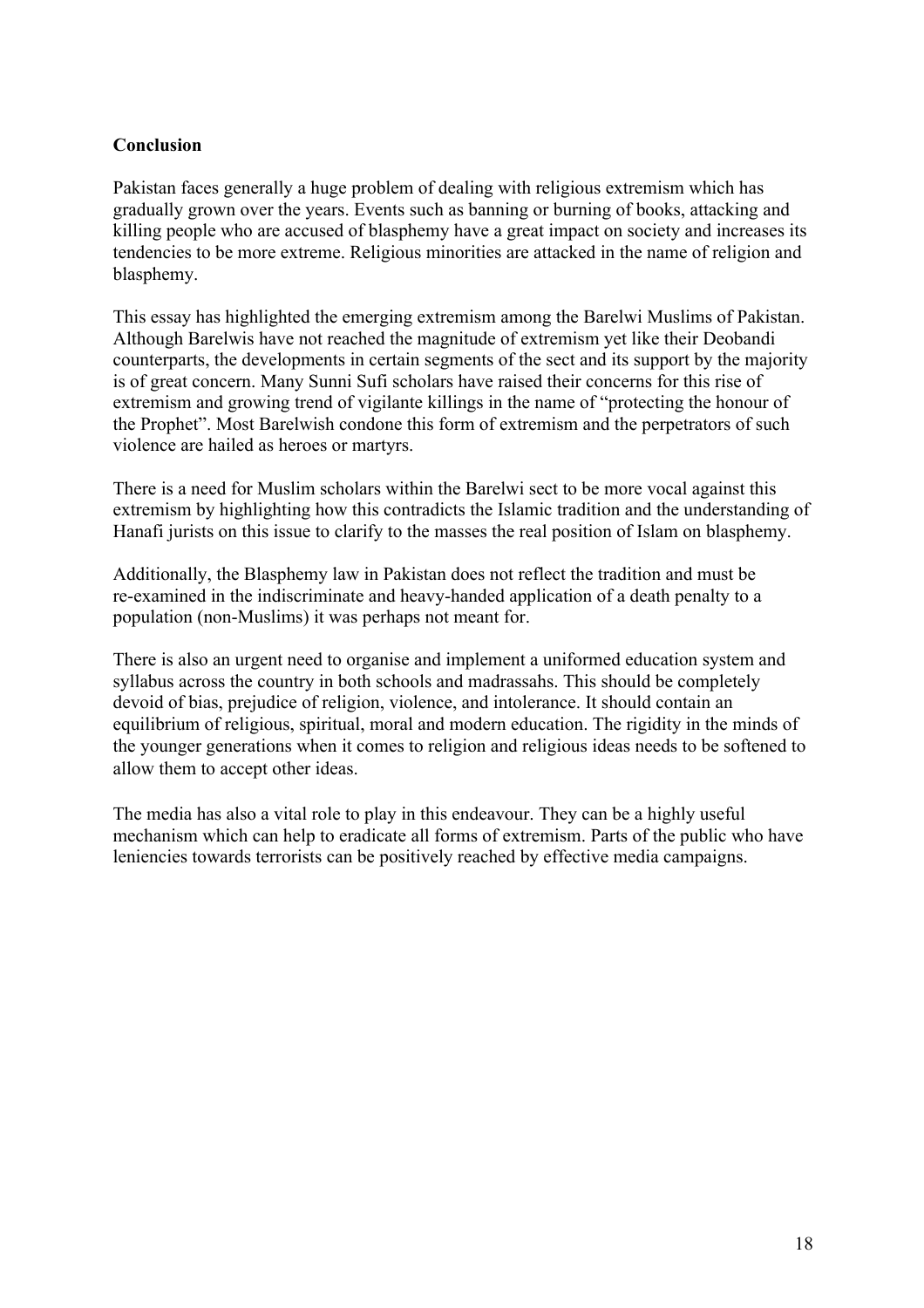## **Conclusion**

Pakistan faces generally a huge problem of dealing with religious extremism which has gradually grown over the years. Events such as banning or burning of books, attacking and killing people who are accused of blasphemy have a great impact on society and increases its tendencies to be more extreme. Religious minorities are attacked in the name of religion and blasphemy.

This essay has highlighted the emerging extremism among the Barelwi Muslims of Pakistan. Although Barelwis have not reached the magnitude of extremism yet like their Deobandi counterparts, the developments in certain segments of the sect and its support by the majority is of great concern. Many Sunni Sufi scholars have raised their concerns for this rise of extremism and growing trend of vigilante killings in the name of "protecting the honour of the Prophet". Most Barelwish condone this form of extremism and the perpetrators of such violence are hailed as heroes or martyrs.

There is a need for Muslim scholars within the Barelwi sect to be more vocal against this extremism by highlighting how this contradicts the Islamic tradition and the understanding of Hanafi jurists on this issue to clarify to the masses the real position of Islam on blasphemy.

Additionally, the Blasphemy law in Pakistan does not reflect the tradition and must be re-examined in the indiscriminate and heavy-handed application of a death penalty to a population (non-Muslims) it was perhaps not meant for.

There is also an urgent need to organise and implement a uniformed education system and syllabus across the country in both schools and madrassahs. This should be completely devoid of bias, prejudice of religion, violence, and intolerance. It should contain an equilibrium of religious, spiritual, moral and modern education. The rigidity in the minds of the younger generations when it comes to religion and religious ideas needs to be softened to allow them to accept other ideas.

The media has also a vital role to play in this endeavour. They can be a highly useful mechanism which can help to eradicate all forms of extremism. Parts of the public who have leniencies towards terrorists can be positively reached by effective media campaigns.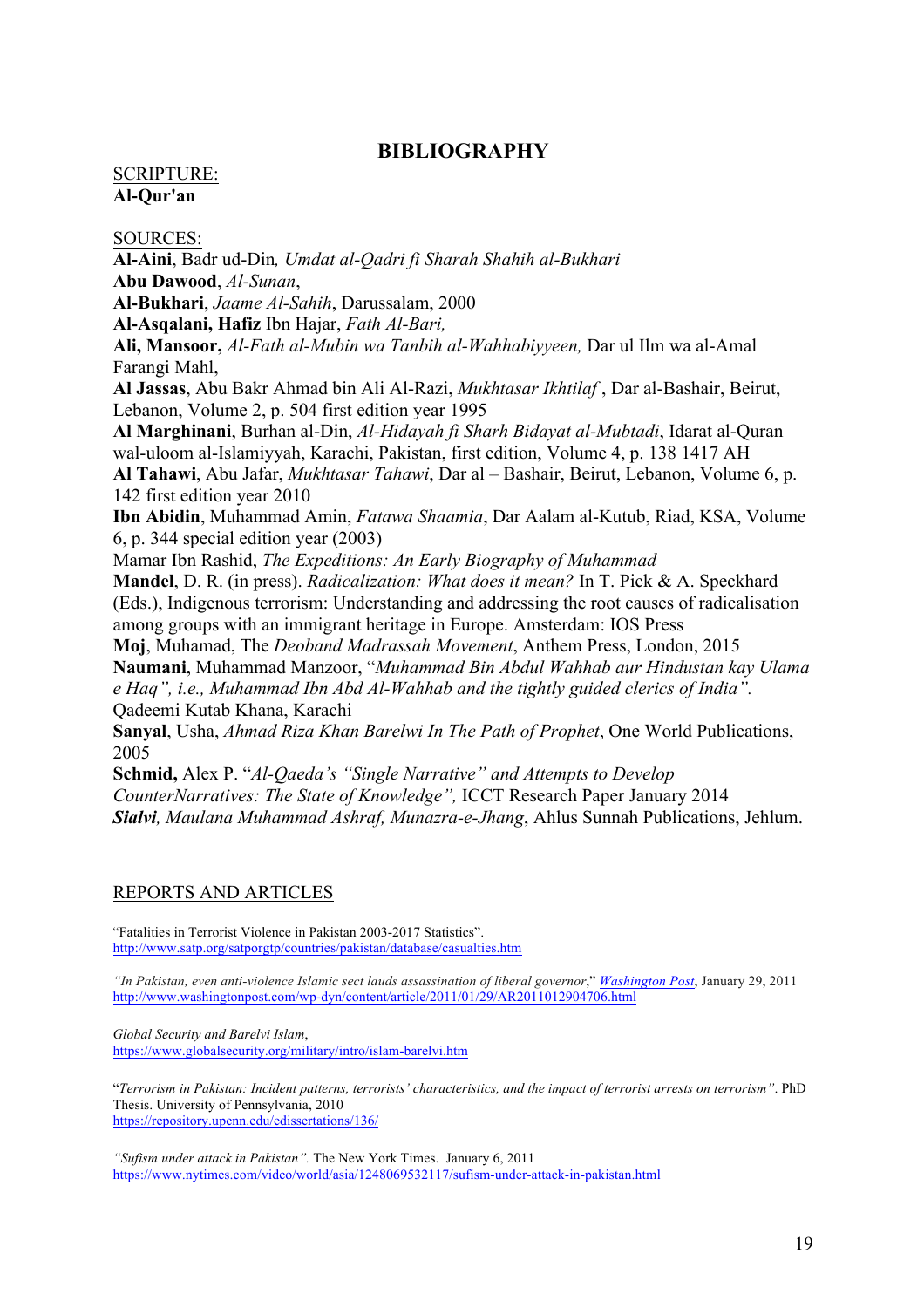# **BIBLIOGRAPHY**

#### SCRIPTURE: **Al-Qur'an**

#### SOURCES:

**Al-Aini**, Badr ud-Din*, Umdat al-Qadri fi Sharah Shahih al-Bukhari* **Abu Dawood**, *Al-Sunan*, **Al-Bukhari**, *Jaame Al-Sahih*, Darussalam, 2000 **Al-Asqalani, Hafiz** Ibn Hajar, *Fath Al-Bari,*  **Ali, Mansoor,** *Al-Fath al-Mubin wa Tanbih al-Wahhabiyyeen,* Dar ul Ilm wa al-Amal Farangi Mahl, **Al Jassas**, Abu Bakr Ahmad bin Ali Al-Razi, *Mukhtasar Ikhtilaf* , Dar al-Bashair, Beirut, Lebanon, Volume 2, p. 504 first edition year 1995 **Al Marghinani**, Burhan al-Din, *Al-Hidayah fi Sharh Bidayat al-Mubtadi*, Idarat al-Quran wal-uloom al-Islamiyyah, Karachi, Pakistan, first edition, Volume 4, p. 138 1417 AH **Al Tahawi**, Abu Jafar, *Mukhtasar Tahawi*, Dar al – Bashair, Beirut, Lebanon, Volume 6, p. 142 first edition year 2010 **Ibn Abidin**, Muhammad Amin, *Fatawa Shaamia*, Dar Aalam al-Kutub, Riad, KSA, Volume 6, p. 344 special edition year (2003) Mamar Ibn Rashid, *The Expeditions: An Early Biography of Muhammad* **Mandel**, D. R. (in press). *Radicalization: What does it mean?* In T. Pick & A. Speckhard (Eds.), Indigenous terrorism: Understanding and addressing the root causes of radicalisation among groups with an immigrant heritage in Europe. Amsterdam: IOS Press **Moj**, Muhamad, The *Deoband Madrassah Movement*, Anthem Press, London, 2015 **Naumani**, Muhammad Manzoor, "*Muhammad Bin Abdul Wahhab aur Hindustan kay Ulama e Haq", i.e., Muhammad Ibn Abd Al-Wahhab and the tightly guided clerics of India".*  Qadeemi Kutab Khana, Karachi **Sanyal**, Usha, *Ahmad Riza Khan Barelwi In The Path of Prophet*, One World Publications, 2005 **Schmid,** Alex P. "*Al-Qaeda's "Single Narrative" and Attempts to Develop CounterNarratives: The State of Knowledge",* ICCT Research Paper January 2014

*Sialvi, Maulana Muhammad Ashraf, Munazra-e-Jhang*, Ahlus Sunnah Publications, Jehlum.

#### REPORTS AND ARTICLES

"Fatalities in Terrorist Violence in Pakistan 2003-2017 Statistics". http://www.satp.org/satporgtp/countries/pakistan/database/casualties.htm

*"In Pakistan, even anti-violence Islamic sect lauds assassination of liberal governor*," *Washington Post*, January 29, 2011 http://www.washingtonpost.com/wp-dyn/content/article/2011/01/29/AR2011012904706.html

*Global Security and Barelvi Islam*, https://www.globalsecurity.org/military/intro/islam-barelvi.htm

"*Terrorism in Pakistan: Incident patterns, terrorists' characteristics, and the impact of terrorist arrests on terrorism"*. PhD Thesis. University of Pennsylvania, 2010 https://repository.upenn.edu/edissertations/136/

*"Sufism under attack in Pakistan".* The New York Times. January 6, 2011 https://www.nytimes.com/video/world/asia/1248069532117/sufism-under-attack-in-pakistan.html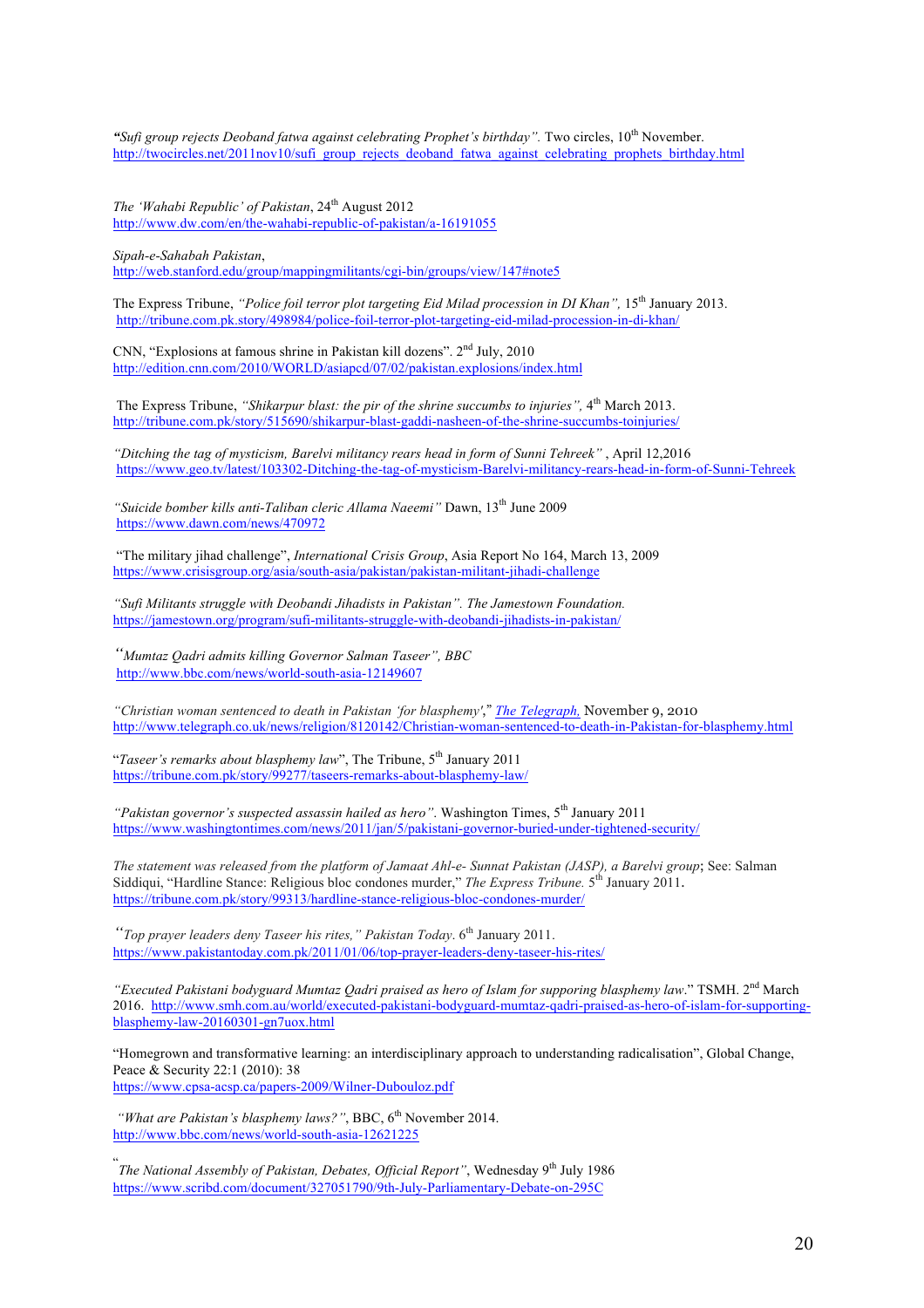"Sufi group rejects Deoband fatwa against celebrating Prophet's birthday". Two circles, 10<sup>th</sup> November. http://twocircles.net/2011nov10/sufi\_group\_rejects\_deoband\_fatwa\_against\_celebrating\_prophets\_birthday.html

*The 'Wahabi Republic' of Pakistan*, 24<sup>th</sup> August 2012 http://www.dw.com/en/the-wahabi-republic-of-pakistan/a-16191055

*Sipah-e-Sahabah Pakistan*,

http://web.stanford.edu/group/mappingmilitants/cgi-bin/groups/view/147#note5

The Express Tribune, *"Police foil terror plot targeting Eid Milad procession in DI Khan",* 15th January 2013. http://tribune.com.pk.story/498984/police-foil-terror-plot-targeting-eid-milad-procession-in-di-khan/

CNN, "Explosions at famous shrine in Pakistan kill dozens". 2nd July, 2010 http://edition.cnn.com/2010/WORLD/asiapcd/07/02/pakistan.explosions/index.html

The Express Tribune, *"Shikarpur blast: the pir of the shrine succumbs to injuries"*, 4<sup>th</sup> March 2013. http://tribune.com.pk/story/515690/shikarpur-blast-gaddi-nasheen-of-the-shrine-succumbs-toinjuries/

*"Ditching the tag of mysticism, Barelvi militancy rears head in form of Sunni Tehreek"* , April 12,2016 https://www.geo.tv/latest/103302-Ditching-the-tag-of-mysticism-Barelvi-militancy-rears-head-in-form-of-Sunni-Tehreek

*"Suicide bomber kills anti-Taliban cleric Allama Naeemi"* Dawn, 13th June 2009 https://www.dawn.com/news/470972

"The military jihad challenge", *International Crisis Group*, Asia Report No 164, March 13, 2009 https://www.crisisgroup.org/asia/south-asia/pakistan/pakistan-militant-jihadi-challenge

*"Sufi Militants struggle with Deobandi Jihadists in Pakistan". The Jamestown Foundation.* https://jamestown.org/program/sufi-militants-struggle-with-deobandi-jihadists-in-pakistan/

*"Mumtaz Qadri admits killing Governor Salman Taseer", BBC* http://www.bbc.com/news/world-south-asia-12149607

*"Christian woman sentenced to death in Pakistan 'for blasphemy'*," *The Telegraph,* November 9, 2010 http://www.telegraph.co.uk/news/religion/8120142/Christian-woman-sentenced-to-death-in-Pakistan-for-blasphemy.html

"*Taseer's remarks about blasphemy law*", The Tribune, 5th January 2011 https://tribune.com.pk/story/99277/taseers-remarks-about-blasphemy-law/

*"Pakistan governor's suspected assassin hailed as hero"*. Washington Times, 5th January 2011 https://www.washingtontimes.com/news/2011/jan/5/pakistani-governor-buried-under-tightened-security/

*The statement was released from the platform of Jamaat Ahl-e- Sunnat Pakistan (JASP), a Barelvi group*; See: Salman Siddiqui, "Hardline Stance: Religious bloc condones murder," *The Express Tribune*. 5<sup>th</sup> January 2011. https://tribune.com.pk/story/99313/hardline-stance-religious-bloc-condones-murder/

*"Top prayer leaders deny Taseer his rites," Pakistan Today*. 6th January 2011. https://www.pakistantoday.com.pk/2011/01/06/top-prayer-leaders-deny-taseer-his-rites/

*"Executed Pakistani bodyguard Mumtaz Qadri praised as hero of Islam for supporing blasphemy law*." TSMH. 2nd March 2016. http://www.smh.com.au/world/executed-pakistani-bodyguard-mumtaz-qadri-praised-as-hero-of-islam-for-supportingblasphemy-law-20160301-gn7uox.html

"Homegrown and transformative learning: an interdisciplinary approach to understanding radicalisation", Global Change, Peace & Security 22:1 (2010): 38 https://www.cpsa-acsp.ca/papers-2009/Wilner-Dubouloz.pdf

*"What are Pakistan's blasphemy laws?"*, BBC, 6<sup>th</sup> November 2014. http://www.bbc.com/news/world-south-asia-12621225

"<br>*The National Assembly of Pakistan, Debates, Official Report"*, Wednesday 9<sup>th</sup> July 1986 https://www.scribd.com/document/327051790/9th-July-Parliamentary-Debate-on-295C